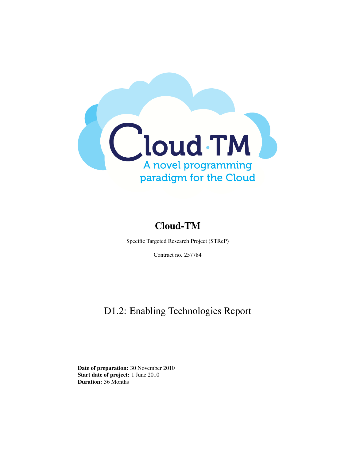

### Cloud-TM

Specific Targeted Research Project (STReP)

Contract no. 257784

### D1.2: Enabling Technologies Report

Date of preparation: 30 November 2010 Start date of project: 1 June 2010 Duration: 36 Months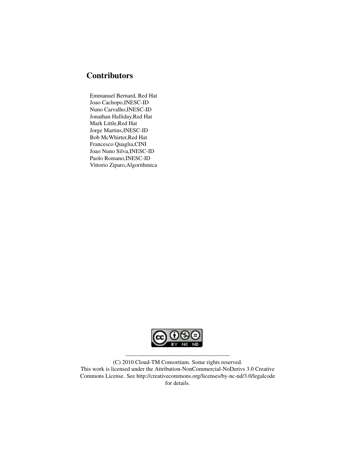#### **Contributors**

Emmanuel Bernard, Red Hat Joao Cachopo,INESC-ID Nuno Carvalho,INESC-ID Jonathan Halliday,Red Hat Mark Little,Red Hat Jorge Martins,INESC-ID Bob McWhirter,Red Hat Francesco Quaglia,CINI Joao Nuno Silva,INESC-ID Paolo Romano,INESC-ID Vittorio Ziparo,Algorithmica



(C) 2010 Cloud-TM Consortium. Some rights reserved. This work is licensed under the Attribution-NonCommercial-NoDerivs 3.0 Creative Commons License. See http://creativecommons.org/licenses/by-nc-nd/3.0/legalcode for details.

——————————————————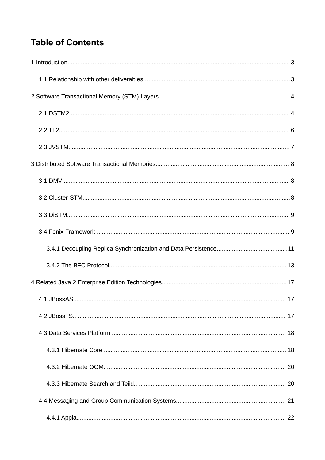## **Table of Contents**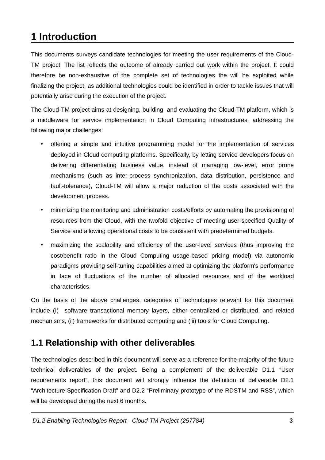# 1 Introduction

This documents surveys candidate technologies for meeting the user requirements of the Cloud-TM project. The list reflects the outcome of already carried out work within the project. It could therefore be non-exhaustive of the complete set of technologies the will be exploited while finalizing the project, as additional technologies could be identified in order to tackle issues that will potentially arise during the execution of the project.

The Cloud-TM project aims at designing, building, and evaluating the Cloud-TM platform, which is a middleware for service implementation in Cloud Computing infrastructures, addressing the following major challenges:

- offering a simple and intuitive programming model for the implementation of services  $\bullet$  . deployed in Cloud computing platforms. Specifically, by letting service developers focus on delivering differentiating business value, instead of managing low-level, error prone mechanisms (such as inter-process synchronization, data distribution, persistence and fault-tolerance). Cloud-TM will allow a major reduction of the costs associated with the development process.
- minimizing the monitoring and administration costs/efforts by automating the provisioning of resources from the Cloud, with the twofold objective of meeting user-specified Quality of Service and allowing operational costs to be consistent with predetermined budgets.
- maximizing the scalability and efficiency of the user-level services (thus improving the cost/benefit ratio in the Cloud Computing usage-based pricing model) via autonomic paradigms providing self-tuning capabilities aimed at optimizing the platform's performance in face of fluctuations of the number of allocated resources and of the workload characteristics.

On the basis of the above challenges, categories of technologies relevant for this document include (I) software transactional memory layers, either centralized or distributed, and related mechanisms, (ii) frameworks for distributed computing and (iii) tools for Cloud Computing.

### 1.1 Relationship with other deliverables

The technologies described in this document will serve as a reference for the majority of the future technical deliverables of the project. Being a complement of the deliverable D1.1 "User requirements report", this document will strongly influence the definition of deliverable D2.1 "Architecture Specification Draft" and D2.2 "Preliminary prototype of the RDSTM and RSS", which will be developed during the next 6 months.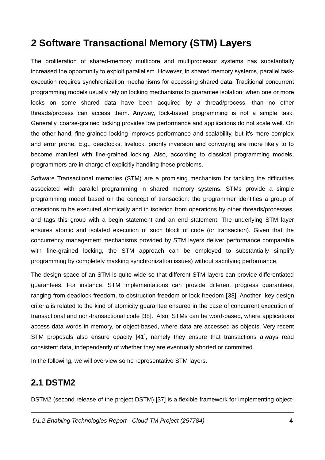## **2 Software Transactional Memory (STM) Layers**

The proliferation of shared-memory multicore and multiprocessor systems has substantially increased the opportunity to exploit parallelism. However, in shared memory systems, parallel taskexecution requires synchronization mechanisms for accessing shared data. Traditional concurrent programming models usually rely on locking mechanisms to guarantee isolation: when one or more locks on some shared data have been acquired by a thread/process, than no other threads/process can access them. Anyway, lock-based programming is not a simple task. Generally, coarse-grained locking provides low performance and applications do not scale well. On the other hand, fine-grained locking improves performance and scalability, but it's more complex and error prone. E.g., deadlocks, livelock, priority inversion and convoying are more likely to to become manifest with fine-grained locking. Also, according to classical programming models, programmers are in charge of explicitly handling these problems.

Software Transactional memories (STM) are a promising mechanism for tackling the difficulties associated with parallel programming in shared memory systems. STMs provide a simple programming model based on the concept of transaction: the programmer identifies a group of operations to be executed atomically and in isolation from operations by other threads/processes, and tags this group with a begin statement and an end statement. The underlying STM layer ensures atomic and isolated execution of such block of code (or transaction). Given that the concurrency management mechanisms provided by STM layers deliver performance comparable with fine-grained locking, the STM approach can be employed to substantially simplify programming by completely masking synchronization issues) without sacrifying performance,

The design space of an STM is quite wide so that different STM layers can provide differentiated quarantees. For instance, STM implementations can provide different progress quarantees, ranging from deadlock-freedom, to obstruction-freedom or lock-freedom [38]. Another key design criteria is related to the kind of atomicity quarantee ensured in the case of concurrent execution of transactional and non-transactional code [38]. Also, STMs can be word-based, where applications access data words in memory, or object-based, where data are accessed as objects. Very recent STM proposals also ensure opacity [41], namely they ensure that transactions always read consistent data, independently of whether they are eventually aborted or committed.

In the following, we will overview some representative STM layers.

### **2.1 DSTM2**

DSTM2 (second release of the project DSTM) [37] is a flexible framework for implementing object-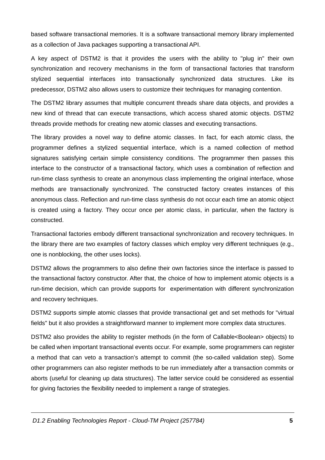based software transactional memories. It is a software transactional memory library implemented as a collection of Java packages supporting a transactional API.

A key aspect of DSTM2 is that it provides the users with the ability to "plug in" their own synchronization and recovery mechanisms in the form of transactional factories that transform stylized sequential interfaces into transactionally synchronized data structures. Like its predecessor. DSTM2 also allows users to customize their techniques for managing contention.

The DSTM2 library assumes that multiple concurrent threads share data objects, and provides a new kind of thread that can execute transactions, which access shared atomic objects. DSTM2 threads provide methods for creating new atomic classes and executing transactions.

The library provides a novel way to define atomic classes. In fact, for each atomic class, the programmer defines a stylized sequential interface, which is a named collection of method signatures satisfying certain simple consistency conditions. The programmer then passes this interface to the constructor of a transactional factory, which uses a combination of reflection and run-time class synthesis to create an anonymous class implementing the original interface, whose methods are transactionally synchronized. The constructed factory creates instances of this anonymous class. Reflection and run-time class synthesis do not occur each time an atomic object is created using a factory. They occur once per atomic class, in particular, when the factory is constructed.

Transactional factories embody different transactional synchronization and recovery techniques. In the library there are two examples of factory classes which employ very different techniques (e.g., one is nonblocking, the other uses locks).

DSTM2 allows the programmers to also define their own factories since the interface is passed to the transactional factory constructor. After that, the choice of how to implement atomic objects is a run-time decision, which can provide supports for experimentation with different synchronization and recovery techniques.

DSTM2 supports simple atomic classes that provide transactional get and set methods for "virtual fields" but it also provides a straightforward manner to implement more complex data structures.

DSTM2 also provides the ability to register methods (in the form of Callable<Boolean> objects) to be called when important transactional events occur. For example, some programmers can register a method that can veto a transaction's attempt to commit (the so-called validation step). Some other programmers can also register methods to be run immediately after a transaction commits or aborts (useful for cleaning up data structures). The latter service could be considered as essential for giving factories the flexibility needed to implement a range of strategies.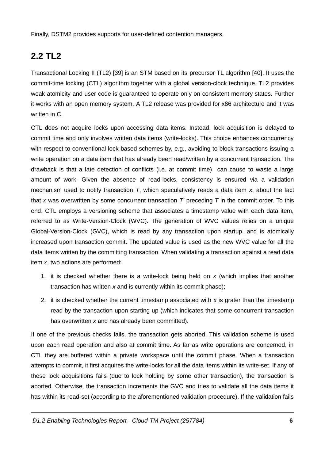Finally, DSTM2 provides supports for user-defined contention managers.

## **2.2 TL2**

Transactional Locking II (TL2) [39] is an STM based on its precursor TL algorithm [40]. It uses the commit-time locking (CTL) algorithm together with a global version-clock technique. TL2 provides weak atomicity and user code is quaranteed to operate only on consistent memory states. Further it works with an open memory system. A TL2 release was provided for x86 architecture and it was written in C.

CTL does not acquire locks upon accessing data items. Instead, lock acquisition is delayed to commit time and only involves written data items (write-locks). This choice enhances concurrency with respect to conventional lock-based schemes by, e.g., avoiding to block transactions issuing a write operation on a data item that has already been read/written by a concurrent transaction. The drawback is that a late detection of conflicts (i.e. at commit time) can cause to waste a large amount of work. Given the absence of read-locks, consistency is ensured via a validation mechanism used to notify transaction  $T$ , which speculatively reads a data item  $x$ , about the fact that x was overwritten by some concurrent transaction  $T'$  preceding  $T$  in the commit order. To this end, CTL employs a versioning scheme that associates a timestamp value with each data item, referred to as Write-Version-Clock (WVC). The generation of WVC values relies on a unique Global-Version-Clock (GVC), which is read by any transaction upon startup, and is atomically increased upon transaction commit. The updated value is used as the new WVC value for all the data items written by the committing transaction. When validating a transaction against a read data item  $x$ , two actions are performed:

- 1. it is checked whether there is a write-lock being held on  $x$  (which implies that another transaction has written  $x$  and is currently within its commit phase);
- 2. it is checked whether the current timestamp associated with  $x$  is grater than the timestamp read by the transaction upon starting up (which indicates that some concurrent transaction has overwritten  $x$  and has already been committed).

If one of the previous checks fails, the transaction gets aborted. This validation scheme is used upon each read operation and also at commit time. As far as write operations are concerned, in CTL they are buffered within a private workspace until the commit phase. When a transaction attempts to commit, it first acquires the write-locks for all the data items within its write-set. If any of these lock acquisitions fails (due to lock holding by some other transaction), the transaction is aborted. Otherwise, the transaction increments the GVC and tries to validate all the data items it has within its read-set (according to the aforementioned validation procedure). If the validation fails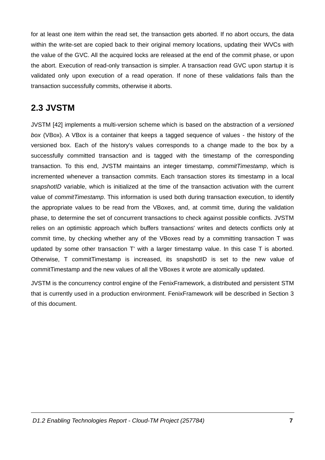for at least one item within the read set, the transaction gets aborted. If no abort occurs, the data within the write-set are copied back to their original memory locations, updating their WVCs with the value of the GVC. All the acquired locks are released at the end of the commit phase, or upon the abort. Execution of read-only transaction is simpler. A transaction read GVC upon startup it is validated only upon execution of a read operation. If none of these validations fails than the transaction successfully commits, otherwise it aborts.

### 2.3 JVSTM

JVSTM [42] implements a multi-version scheme which is based on the abstraction of a versioned box (VBox). A VBox is a container that keeps a tagged sequence of values - the history of the versioned box. Each of the history's values corresponds to a change made to the box by a successfully committed transaction and is tagged with the timestamp of the corresponding transaction. To this end, JVSTM maintains an integer timestamp, commitTimestamp, which is incremented whenever a transaction commits. Each transaction stores its timestamp in a local snapshotID variable, which is initialized at the time of the transaction activation with the current value of commitTimestamp. This information is used both during transaction execution, to identify the appropriate values to be read from the VBoxes, and, at commit time, during the validation phase, to determine the set of concurrent transactions to check against possible conflicts. JVSTM relies on an optimistic approach which buffers transactions' writes and detects conflicts only at commit time, by checking whether any of the VBoxes read by a committing transaction T was updated by some other transaction T' with a larger timestamp value. In this case T is aborted. Otherwise, T commitTimestamp is increased, its snapshotID is set to the new value of commitTimestamp and the new values of all the VBoxes it wrote are atomically updated.

JVSTM is the concurrency control engine of the FenixFramework, a distributed and persistent STM that is currently used in a production environment. FenixFramework will be described in Section 3 of this document.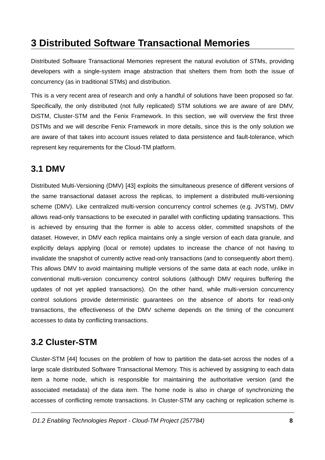## **3 Distributed Software Transactional Memories**

Distributed Software Transactional Memories represent the natural evolution of STMs, providing developers with a single-system image abstraction that shelters them from both the issue of concurrency (as in traditional STMs) and distribution.

This is a very recent area of research and only a handful of solutions have been proposed so far. Specifically, the only distributed (not fully replicated) STM solutions we are aware of are DMV, DISTM, Cluster-STM and the Fenix Framework. In this section, we will overview the first three DSTMs and we will describe Fenix Framework in more details, since this is the only solution we are aware of that takes into account issues related to data persistence and fault-tolerance, which represent key requirements for the Cloud-TM platform.

### **3.1 DMV**

Distributed Multi-Versioning (DMV) [43] exploits the simultaneous presence of different versions of the same transactional dataset across the replicas, to implement a distributed multi-versioning scheme (DMV). Like centralized multi-version concurrency control schemes (e.g. JVSTM). DMV allows read-only transactions to be executed in parallel with conflicting updating transactions. This is achieved by ensuring that the former is able to access older, committed snapshots of the dataset. However, in DMV each replica maintains only a single version of each data granule, and explicitly delays applying (local or remote) updates to increase the chance of not having to invalidate the snapshot of currently active read-only transactions (and to consequently abort them). This allows DMV to avoid maintaining multiple versions of the same data at each node, unlike in conventional multi-version concurrency control solutions (although DMV requires buffering the updates of not yet applied transactions). On the other hand, while multi-version concurrency control solutions provide deterministic guarantees on the absence of aborts for read-only transactions, the effectiveness of the DMV scheme depends on the timing of the concurrent accesses to data by conflicting transactions.

## **3.2 Cluster-STM**

Cluster-STM [44] focuses on the problem of how to partition the data-set across the nodes of a large scale distributed Software Transactional Memory. This is achieved by assigning to each data item a home node, which is responsible for maintaining the authoritative version (and the associated metadata) of the data item. The home node is also in charge of synchronizing the accesses of conflicting remote transactions. In Cluster-STM any caching or replication scheme is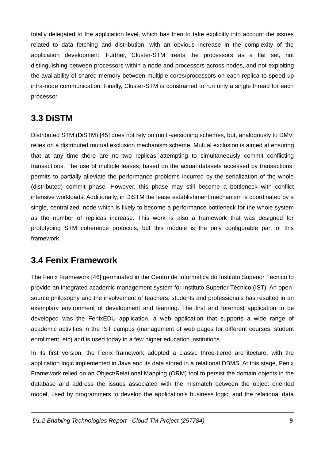totally delegated to the application level, which has then to take explicitly into account the issues related to data fetching and distribution, with an obvious increase in the complexity of the application development. Further, Cluster-STM treats the processors as a flat set, not distinguishing between processors within a node and processors across nodes, and not exploiting the availability of shared memory between multiple cores/processors on each replica to speed up intra-node communication. Finally, Cluster-STM is constrained to run only a single thread for each processor.

### 3.3 DISTM

Distributed STM (DiSTM) [45] does not rely on multi-versioning schemes, but, analogously to DMV, relies on a distributed mutual exclusion mechanism scheme. Mutual exclusion is aimed at ensuring that at any time there are no two replicas attempting to simultaneously commit conflicting transactions. The use of multiple leases, based on the actual datasets accessed by transactions, permits to partially alleviate the performance problems incurred by the serialization of the whole (distributed) commit phase. However, this phase may still become a bottleneck with conflict intensive workloads. Additionally, in DiSTM the lease establishment mechanism is coordinated by a single, centralized, node which is likely to become a performance bottleneck for the whole system as the number of replicas increase. This work is also a framework that was designed for prototyping STM coherence protocols, but this module is the only configurable part of this framework.

### **3.4 Fenix Framework**

The Fenix Framework [46] germinated in the Centro de Informática do Instituto Superior Técnico to provide an integrated academic management system for Instituto Superior Técnico (IST). An opensource philosophy and the involvement of teachers, students and professionals has resulted in an exemplary environment of development and learning. The first and foremost application to be developed was the FenixEDU application, a web application that supports a wide range of academic activities in the IST campus (management of web pages for different courses, student enrollment, etc) and is used today in a few higher education institutions.

In its first version, the Fenix framework adopted a classic three-tiered architecture, with the application logic implemented in Java and its data stored in a relational DBMS. At this stage, Fenix Framework relied on an Object/Relational Mapping (ORM) tool to persist the domain objects in the database and address the issues associated with the mismatch between the object oriented model, used by programmers to develop the application's business logic, and the relational data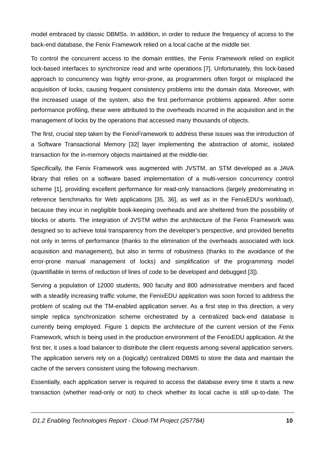model embraced by classic DBMSs. In addition, in order to reduce the frequency of access to the back-end database, the Fenix Framework relied on a local cache at the middle tier.

To control the concurrent access to the domain entities, the Fenix Framework relied on explicit lock-based interfaces to synchronize read and write operations [7]. Unfortunately, this lock-based approach to concurrency was highly error-prone, as programmers often forgot or misplaced the acquisition of locks, causing frequent consistency problems into the domain data. Moreover, with the increased usage of the system, also the first performance problems appeared. After some performance profiling, these were attributed to the overheads incurred in the acquisition and in the management of locks by the operations that accessed many thousands of objects.

The first, crucial step taken by the FenixFramework to address these issues was the introduction of a Software Transactional Memory [32] layer implementing the abstraction of atomic, isolated transaction for the in-memory objects maintained at the middle-tier.

Specifically, the Fenix Framework was augmented with JVSTM, an STM developed as a JAVA library that relies on a software based implementation of a multi-version concurrency control scheme [1], providing excellent performance for read-only transactions (largely predominating in reference benchmarks for Web applications [35, 36], as well as in the FenixEDU's workload), because they incur in negligible book-keeping overheads and are sheltered from the possibility of blocks or aborts. The integration of JVSTM within the architecture of the Fenix Framework was designed so to achieve total transparency from the developer's perspective, and provided benefits not only in terms of performance (thanks to the elimination of the overheads associated with lock acquisition and management), but also in terms of robustness (thanks to the avoidance of the error-prone manual management of locks) and simplification of the programming model (quantifiable in terms of reduction of lines of code to be developed and debugged [3]).

Serving a population of 12000 students, 900 faculty and 800 administrative members and faced with a steadily increasing traffic volume, the FenixEDU application was soon forced to address the problem of scaling out the TM-enabled application server. As a first step in this direction, a very simple replica synchronization scheme orchestrated by a centralized back-end database is currently being employed. Figure 1 depicts the architecture of the current version of the Fenix Framework, which is being used in the production environment of the FenixEDU application. At the first tier, it uses a load balancer to distribute the client requests among several application servers. The application servers rely on a (logically) centralized DBMS to store the data and maintain the cache of the servers consistent using the following mechanism.

Essentially, each application server is required to access the database every time it starts a new transaction (whether read-only or not) to check whether its local cache is still up-to-date. The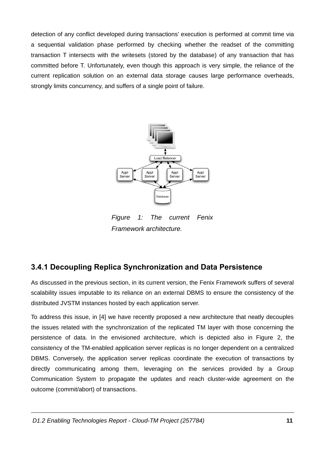detection of any conflict developed during transactions' execution is performed at commit time via a sequential validation phase performed by checking whether the readset of the committing transaction T intersects with the writesets (stored by the database) of any transaction that has committed before T. Unfortunately, even though this approach is very simple, the reliance of the current replication solution on an external data storage causes large performance overheads, strongly limits concurrency, and suffers of a single point of failure.



<span id="page-12-0"></span>**Figure**  $\mathbf{1}$ : **The** current Fenix Framework architecture.

### 3.4.1 Decoupling Replica Synchronization and Data Persistence

As discussed in the previous section, in its current version, the Fenix Framework suffers of several scalability issues imputable to its reliance on an external DBMS to ensure the consistency of the distributed JVSTM instances hosted by each application server.

To address this issue, in [4] we have recently proposed a new architecture that neatly decouples the issues related with the synchronization of the replicated TM layer with those concerning the persistence of data. In the envisioned architecture, which is depicted also in Figure 2, the consistency of the TM-enabled application server replicas is no longer dependent on a centralized DBMS. Conversely, the application server replicas coordinate the execution of transactions by directly communicating among them, leveraging on the services provided by a Group Communication System to propagate the updates and reach cluster-wide agreement on the outcome (commit/abort) of transactions.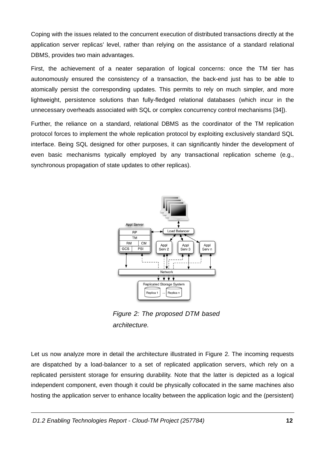Coping with the issues related to the concurrent execution of distributed transactions directly at the application server replicas' level, rather than relying on the assistance of a standard relational DBMS, provides two main advantages.

First, the achievement of a neater separation of logical concerns: once the TM tier has autonomously ensured the consistency of a transaction, the back-end just has to be able to atomically persist the corresponding updates. This permits to rely on much simpler, and more lightweight, persistence solutions than fully-fledged relational databases (which incur in the unnecessary overheads associated with SQL or complex concurrency control mechanisms [34]).

Further, the reliance on a standard, relational DBMS as the coordinator of the TM replication protocol forces to implement the whole replication protocol by exploiting exclusively standard SQL interface. Being SQL designed for other purposes, it can significantly hinder the development of even basic mechanisms typically employed by any transactional replication scheme (e.g., synchronous propagation of state updates to other replicas).



<span id="page-13-0"></span>Figure 2: The proposed DTM based architecture.

Let us now analyze more in detail the architecture illustrated in Figure 2. The incoming requests are dispatched by a load-balancer to a set of replicated application servers, which rely on a replicated persistent storage for ensuring durability. Note that the latter is depicted as a logical independent component, even though it could be physically collocated in the same machines also hosting the application server to enhance locality between the application logic and the (persistent)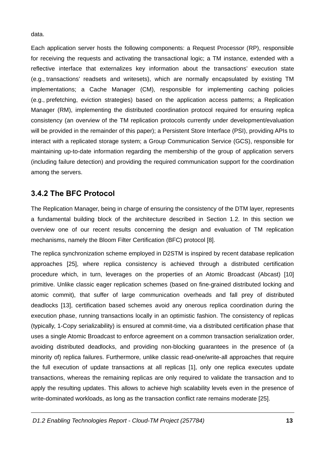data.

Each application server hosts the following components: a Request Processor (RP), responsible for receiving the requests and activating the transactional logic; a TM instance, extended with a reflective interface that externalizes key information about the transactions' execution state (e.g., transactions' readsets and writesets), which are normally encapsulated by existing TM implementations; a Cache Manager (CM), responsible for implementing caching policies (e.g., prefetching, eviction strategies) based on the application access patterns; a Replication Manager (RM), implementing the distributed coordination protocol required for ensuring replica consistency (an overview of the TM replication protocols currently under development/evaluation will be provided in the remainder of this paper); a Persistent Store Interface (PSI), providing APIs to interact with a replicated storage system; a Group Communication Service (GCS), responsible for maintaining up-to-date information regarding the membership of the group of application servers (including failure detection) and providing the required communication support for the coordination among the servers.

#### 3.4.2 The BFC Protocol

The Replication Manager, being in charge of ensuring the consistency of the DTM layer, represents a fundamental building block of the architecture described in Section 1.2. In this section we overview one of our recent results concerning the design and evaluation of TM replication mechanisms, namely the Bloom Filter Certification (BFC) protocol [8].

The replica synchronization scheme employed in D2STM is inspired by recent database replication approaches [25], where replica consistency is achieved through a distributed certification procedure which, in turn, leverages on the properties of an Atomic Broadcast (Abcast) [10] primitive. Unlike classic eager replication schemes (based on fine-grained distributed locking and atomic commit), that suffer of large communication overheads and fall prey of distributed deadlocks [13], certification based schemes avoid any onerous replica coordination during the execution phase, running transactions locally in an optimistic fashion. The consistency of replicas (typically, 1-Copy serializability) is ensured at commit-time, via a distributed certification phase that uses a single Atomic Broadcast to enforce agreement on a common transaction serialization order, avoiding distributed deadlocks, and providing non-blocking guarantees in the presence of (a minority of) replica failures. Furthermore, unlike classic read-one/write-all approaches that require the full execution of update transactions at all replicas [1], only one replica executes update transactions, whereas the remaining replicas are only required to validate the transaction and to apply the resulting updates. This allows to achieve high scalability levels even in the presence of write-dominated workloads, as long as the transaction conflict rate remains moderate [25].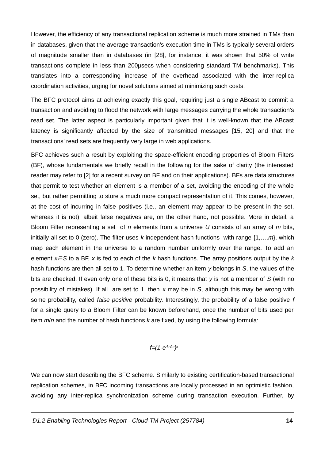However, the efficiency of any transactional replication scheme is much more strained in TMs than in databases, given that the average transaction's execution time in TMs is typically several orders of magnitude smaller than in databases (in [28], for instance, it was shown that 50% of write transactions complete in less than 200µsecs when considering standard TM benchmarks). This translates into a corresponding increase of the overhead associated with the inter-replica coordination activities, urging for novel solutions aimed at minimizing such costs.

The BFC protocol aims at achieving exactly this goal, requiring just a single ABcast to commit a transaction and avoiding to flood the network with large messages carrying the whole transaction's read set. The latter aspect is particularly important given that it is well-known that the ABcast latency is significantly affected by the size of transmitted messages [15, 20] and that the transactions' read sets are frequently very large in web applications.

BFC achieves such a result by exploiting the space-efficient encoding properties of Bloom Filters (BF), whose fundamentals we briefly recall in the following for the sake of clarity (the interested reader may refer to [2] for a recent survey on BF and on their applications). BFs are data structures that permit to test whether an element is a member of a set, avoiding the encoding of the whole set, but rather permitting to store a much more compact representation of it. This comes, however, at the cost of incurring in false positives (i.e., an element may appear to be present in the set. whereas it is not), albeit false negatives are, on the other hand, not possible. More in detail, a Bloom Filter representing a set of  $n$  elements from a universe  $U$  consists of an array of  $m$  bits, initially all set to 0 (zero). The filter uses k independent hash functions with range  $\{1,...,m\}$ , which map each element in the universe to a random number uniformly over the range. To add an element  $x \in S$  to a BF, x is fed to each of the k hash functions. The array positions output by the k hash functions are then all set to 1. To determine whether an item  $\nu$  belongs in S, the values of the bits are checked. If even only one of these bits is 0, it means that y is not a member of S (with no possibility of mistakes). If all are set to 1, then x may be in S, although this may be wrong with some probability, called false positive probability. Interestingly, the probability of a false positive f for a single query to a Bloom Filter can be known beforehand, once the number of bits used per item  $m/n$  and the number of hash functions  $k$  are fixed, by using the following formula:

$$
f=(1-e^{-kn/m})^k
$$

We can now start describing the BFC scheme. Similarly to existing certification-based transactional replication schemes, in BFC incoming transactions are locally processed in an optimistic fashion, avoiding any inter-replica synchronization scheme during transaction execution. Further, by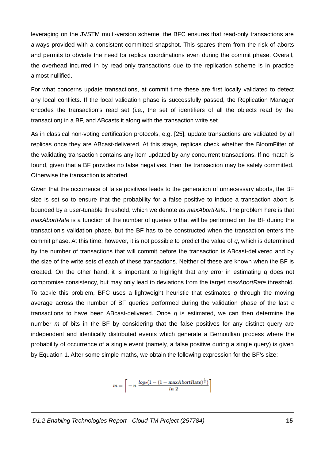leveraging on the JVSTM multi-version scheme, the BFC ensures that read-only transactions are always provided with a consistent committed snapshot. This spares them from the risk of aborts and permits to obviate the need for replica coordinations even during the commit phase. Overall, the overhead incurred in by read-only transactions due to the replication scheme is in practice almost nullified.

For what concerns update transactions, at commit time these are first locally validated to detect any local conflicts. If the local validation phase is successfully passed, the Replication Manager encodes the transaction's read set (i.e., the set of identifiers of all the objects read by the transaction) in a BF, and ABcasts it along with the transaction write set.

As in classical non-voting certification protocols, e.g. [25], update transactions are validated by all replicas once they are ABcast-delivered. At this stage, replicas check whether the BloomFilter of the validating transaction contains any item updated by any concurrent transactions. If no match is found, given that a BF provides no false negatives, then the transaction may be safely committed. Otherwise the transaction is aborted.

Given that the occurrence of false positives leads to the generation of unnecessary aborts, the BF size is set so to ensure that the probability for a false positive to induce a transaction abort is bounded by a user-tunable threshold, which we denote as *maxAbortRate*. The problem here is that *maxAbortRate* is a function of the number of queries q that will be performed on the BF during the transaction's validation phase, but the BF has to be constructed when the transaction enters the commit phase. At this time, however, it is not possible to predict the value of  $q$ , which is determined by the number of transactions that will commit before the transaction is ABcast-delivered and by the size of the write sets of each of these transactions. Neither of these are known when the BF is created. On the other hand, it is important to highlight that any error in estimating  $q$  does not compromise consistency, but may only lead to deviations from the target maxAbortRate threshold. To tackle this problem, BFC uses a lightweight heuristic that estimates  $q$  through the moving average across the number of BF queries performed during the validation phase of the last  $c$ transactions to have been ABcast-delivered. Once  $q$  is estimated, we can then determine the number  $m$  of bits in the BF by considering that the false positives for any distinct query are independent and identically distributed events which generate a Bernoullian process where the probability of occurrence of a single event (namely, a false positive during a single query) is given by Equation 1. After some simple maths, we obtain the following expression for the BF's size:

$$
m = \left[ -n \frac{log_2(1 - (1 - maxAboutRate)^{\frac{1}{q}})}{ln 2} \right]
$$

D1.2 Enabling Technologies Report - Cloud-TM Project (257784)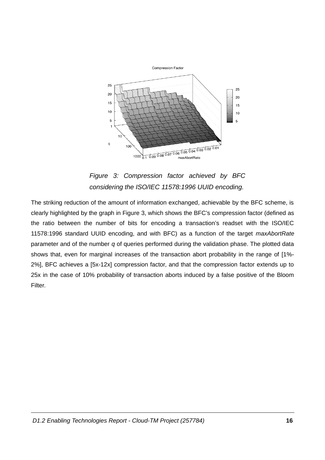

<span id="page-17-0"></span>Figure 3: Compression factor achieved by BFC considering the ISO/IEC 11578:1996 UUID encoding.

The striking reduction of the amount of information exchanged, achievable by the BFC scheme, is clearly highlighted by the graph in Figure 3, which shows the BFC's compression factor (defined as the ratio between the number of bits for encoding a transaction's readset with the ISO/IEC 11578:1996 standard UUID encoding, and with BFC) as a function of the target maxAbortRate parameter and of the number  $q$  of queries performed during the validation phase. The plotted data shows that, even for marginal increases of the transaction abort probability in the range of [1%-2%], BFC achieves a [5x-12x] compression factor, and that the compression factor extends up to 25x in the case of 10% probability of transaction aborts induced by a false positive of the Bloom Filter.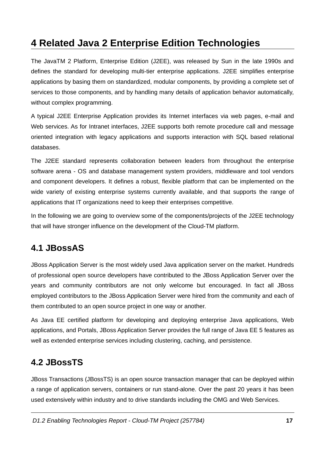## **4 Related Java 2 Enterprise Edition Technologies**

The JavaTM 2 Platform, Enterprise Edition (J2EE), was released by Sun in the late 1990s and defines the standard for developing multi-tier enterprise applications. J2EE simplifies enterprise applications by basing them on standardized, modular components, by providing a complete set of services to those components, and by handling many details of application behavior automatically, without complex programming.

A typical J2EE Enterprise Application provides its Internet interfaces via web pages, e-mail and Web services. As for Intranet interfaces, J2EE supports both remote procedure call and message oriented integration with legacy applications and supports interaction with SOL based relational databases.

The J2EE standard represents collaboration between leaders from throughout the enterprise software arena - OS and database management system providers, middleware and tool vendors and component developers. It defines a robust, flexible platform that can be implemented on the wide variety of existing enterprise systems currently available, and that supports the range of applications that IT organizations need to keep their enterprises competitive.

In the following we are going to overview some of the components/projects of the J2EE technology that will have stronger influence on the development of the Cloud-TM platform.

## 4.1 JBossAS

JBoss Application Server is the most widely used Java application server on the market. Hundreds of professional open source developers have contributed to the JBoss Application Server over the years and community contributors are not only welcome but encouraged. In fact all JBoss employed contributors to the JBoss Application Server were hired from the community and each of them contributed to an open source project in one way or another.

As Java EE certified platform for developing and deploying enterprise Java applications. Web applications, and Portals, JBoss Application Server provides the full range of Java EE 5 features as well as extended enterprise services including clustering, caching, and persistence.

### **4.2 JBossTS**

JBoss Transactions (JBossTS) is an open source transaction manager that can be deployed within a range of application servers, containers or run stand-alone. Over the past 20 years it has been used extensively within industry and to drive standards including the OMG and Web Services.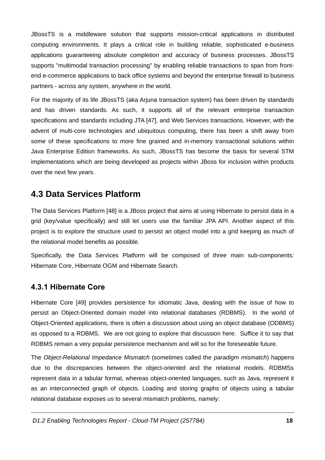JBossTS is a middleware solution that supports mission-critical applications in distributed computing environments. It plays a critical role in building reliable, sophisticated e-business applications quaranteeing absolute completion and accuracy of business processes. JBossTS supports "multimodal transaction processing" by enabling reliable transactions to span from frontend e-commerce applications to back office systems and beyond the enterprise firewall to business partners - across any system, anywhere in the world.

For the majority of its life JBossTS (aka Arjuna transaction system) has been driven by standards and has driven standards. As such, it supports all of the relevant enterprise transaction specifications and standards including JTA [47], and Web Services transactions. However, with the advent of multi-core technologies and ubiquitous computing, there has been a shift away from some of these specifications to more fine grained and in-memory transactional solutions within Java Enterprise Edition frameworks. As such, JBossTS has become the basis for several STM implementations which are being developed as projects within JBoss for inclusion within products over the next few years.

### **4.3 Data Services Platform**

The Data Services Platform [48] is a JBoss project that aims at using Hibernate to persist data in a grid (key/value specifically) and still let users use the familiar JPA API. Another aspect of this project is to explore the structure used to persist an object model into a grid keeping as much of the relational model benefits as possible.

Specifically, the Data Services Platform will be composed of three main sub-components: Hibernate Core, Hibernate OGM and Hibernate Search.

#### 4.3.1 Hibernate Core

Hibernate Core [49] provides persistence for idiomatic Java, dealing with the issue of how to persist an Object-Oriented domain model into relational databases (RDBMS). In the world of Object-Oriented applications, there is often a discussion about using an object database (ODBMS) as opposed to a RDBMS. We are not going to explore that discussion here. Suffice it to say that RDBMS remain a very popular persistence mechanism and will so for the foreseeable future.

The Object-Relational Impedance Mismatch (sometimes called the paradigm mismatch) happens due to the discrepancies between the object-oriented and the relational models. RDBMSs represent data in a tabular format, whereas object-oriented languages, such as Java, represent it as an interconnected graph of objects. Loading and storing graphs of objects using a tabular relational database exposes us to several mismatch problems, namely: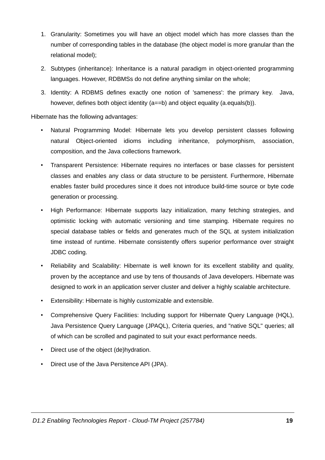- 1. Granularity: Sometimes you will have an object model which has more classes than the number of corresponding tables in the database (the object model is more granular than the relational model);
- 2. Subtypes (inheritance): Inheritance is a natural paradigm in object-oriented programming languages. However, RDBMSs do not define anything similar on the whole;
- 3. Identity: A RDBMS defines exactly one notion of 'sameness': the primary key. Java. however, defines both object identity (a==b) and object equality (a.equals(b)).

Hibernate has the following advantages:

- Natural Programming Model: Hibernate lets you develop persistent classes following  $\bullet$ natural Obiect-oriented idioms including inheritance, polymorphism, association, composition, and the Java collections framework.
- Transparent Persistence: Hibernate requires no interfaces or base classes for persistent classes and enables any class or data structure to be persistent. Furthermore, Hibernate enables faster build procedures since it does not introduce build-time source or byte code generation or processing.
- High Performance: Hibernate supports lazy initialization, many fetching strategies, and optimistic locking with automatic versioning and time stamping. Hibernate requires no special database tables or fields and generates much of the SOL at system initialization time instead of runtime. Hibernate consistently offers superior performance over straight JDBC coding.
- Reliability and Scalability: Hibernate is well known for its excellent stability and quality,  $\bullet$  . proven by the acceptance and use by tens of thousands of Java developers. Hibernate was designed to work in an application server cluster and deliver a highly scalable architecture.
- Extensibility: Hibernate is highly customizable and extensible.
- Comprehensive Ouery Facilities: Including support for Hibernate Ouery Language (HOL).  $\bullet$ Java Persistence Query Language (JPAQL), Criteria queries, and "native SQL" queries; all of which can be scrolled and paginated to suit your exact performance needs.
- Direct use of the object (de)hydration.
- Direct use of the Java Persitence API (JPA).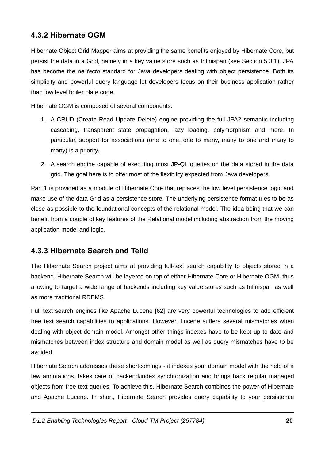#### 4.3.2 Hibernate OGM

Hibernate Object Grid Mapper aims at providing the same benefits enjoyed by Hibernate Core, but persist the data in a Grid, namely in a key value store such as Infinispan (see Section 5.3.1). JPA has become the de facto standard for Java developers dealing with object persistence. Both its simplicity and powerful query language let developers focus on their business application rather than low level boiler plate code.

Hibernate OGM is composed of several components:

- 1. A CRUD (Create Read Update Delete) engine providing the full JPA2 semantic including cascading, transparent state propagation, lazy loading, polymorphism and more. In particular, support for associations (one to one, one to many, many to one and many to many) is a priority.
- 2. A search engine capable of executing most JP-QL queries on the data stored in the data grid. The goal here is to offer most of the flexibility expected from Java developers.

Part 1 is provided as a module of Hibernate Core that replaces the low level persistence logic and make use of the data Grid as a persistence store. The underlying persistence format tries to be as close as possible to the foundational concepts of the relational model. The idea being that we can benefit from a couple of key features of the Relational model including abstraction from the moving application model and logic.

#### 4.3.3 Hibernate Search and Teild

The Hibernate Search project aims at providing full-text search capability to objects stored in a backend. Hibernate Search will be layered on top of either Hibernate Core or Hibernate OGM, thus allowing to target a wide range of backends including key value stores such as Infinispan as well as more traditional RDBMS.

Full text search engines like Apache Lucene [62] are very powerful technologies to add efficient free text search capabilities to applications. However, Lucene suffers several mismatches when dealing with object domain model. Amongst other things indexes have to be kept up to date and mismatches between index structure and domain model as well as query mismatches have to be avoided.

Hibernate Search addresses these shortcomings - it indexes your domain model with the help of a few annotations, takes care of backend/index synchronization and brings back regular managed objects from free text queries. To achieve this, Hibernate Search combines the power of Hibernate and Apache Lucene. In short, Hibernate Search provides query capability to your persistence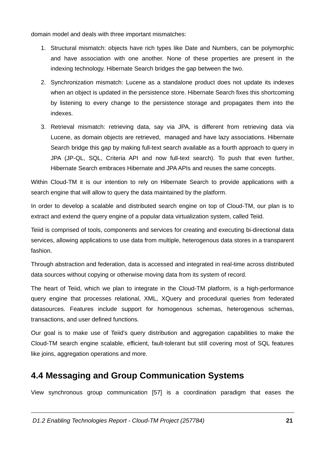domain model and deals with three important mismatches:

- 1. Structural mismatch: objects have rich types like Date and Numbers, can be polymorphic and have association with one another. None of these properties are present in the indexing technology. Hibernate Search bridges the gap between the two.
- 2. Synchronization mismatch: Lucene as a standalone product does not update its indexes when an object is updated in the persistence store. Hibernate Search fixes this shortcoming by listening to every change to the persistence storage and propagates them into the indexes.
- 3. Retrieval mismatch: retrieving data, say via JPA, is different from retrieving data via Lucene, as domain objects are retrieved, managed and have lazy associations. Hibernate Search bridge this gap by making full-text search available as a fourth approach to query in JPA (JP-QL, SQL, Criteria API and now full-text search). To push that even further, Hibernate Search embraces Hibernate and JPA APIs and reuses the same concepts.

Within Cloud-TM it is our intention to rely on Hibernate Search to provide applications with a search engine that will allow to query the data maintained by the platform.

In order to develop a scalable and distributed search engine on top of Cloud-TM, our plan is to extract and extend the query engine of a popular data virtualization system, called Teiid.

Teild is comprised of tools, components and services for creating and executing bi-directional data services, allowing applications to use data from multiple, heterogenous data stores in a transparent fashion.

Through abstraction and federation, data is accessed and integrated in real-time across distributed data sources without copying or otherwise moving data from its system of record.

The heart of Teild, which we plan to integrate in the Cloud-TM platform, is a high-performance query engine that processes relational, XML, XOuery and procedural queries from federated datasources. Features include support for homogenous schemas, heterogenous schemas, transactions, and user defined functions.

Our goal is to make use of Teiid's guery distribution and aggregation capabilities to make the Cloud-TM search engine scalable, efficient, fault-tolerant but still covering most of SQL features like joins, aggregation operations and more.

## 4.4 Messaging and Group Communication Systems

View synchronous group communication [57] is a coordination paradigm that eases the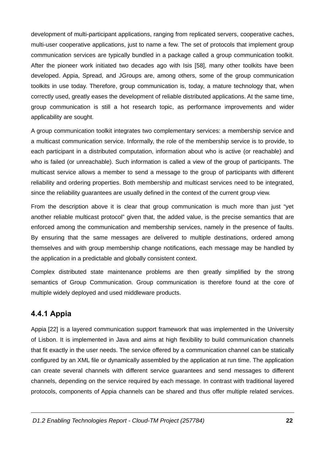development of multi-participant applications, ranging from replicated servers, cooperative caches, multi-user cooperative applications, just to name a few. The set of protocols that implement group communication services are typically bundled in a package called a group communication toolkit. After the pioneer work initiated two decades ago with Isis [58], many other toolkits have been developed. Appia, Spread, and JGroups are, among others, some of the group communication toolkits in use today. Therefore, group communication is, today, a mature technology that, when correctly used, greatly eases the development of reliable distributed applications. At the same time, group communication is still a hot research topic, as performance improvements and wider applicability are sought.

A group communication toolkit integrates two complementary services: a membership service and a multicast communication service. Informally, the role of the membership service is to provide, to each participant in a distributed computation, information about who is active (or reachable) and who is failed (or unreachable). Such information is called a view of the group of participants. The multicast service allows a member to send a message to the group of participants with different reliability and ordering properties. Both membership and multicast services need to be integrated. since the reliability quarantees are usually defined in the context of the current group view.

From the description above it is clear that group communication is much more than just "vet another reliable multicast protocol" given that, the added value, is the precise semantics that are enforced among the communication and membership services, namely in the presence of faults. By ensuring that the same messages are delivered to multiple destinations, ordered among themselves and with group membership change notifications, each message may be handled by the application in a predictable and globally consistent context.

Complex distributed state maintenance problems are then greatly simplified by the strong semantics of Group Communication. Group communication is therefore found at the core of multiple widely deployed and used middleware products.

#### **4.4.1 Appia**

Appia [22] is a layered communication support framework that was implemented in the University of Lisbon. It is implemented in Java and aims at high flexibility to build communication channels that fit exactly in the user needs. The service offered by a communication channel can be statically configured by an XML file or dynamically assembled by the application at run time. The application can create several channels with different service quarantees and send messages to different channels, depending on the service required by each message. In contrast with traditional layered protocols, components of Appia channels can be shared and thus offer multiple related services.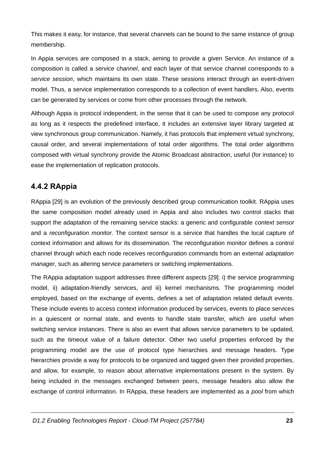This makes it easy, for instance, that several channels can be bound to the same instance of group membership.

In Appia services are composed in a stack, aiming to provide a given Service. An instance of a composition is called a service channel, and each layer of that service channel corresponds to a service session, which maintains its own state. These sessions interact through an event-driven model. Thus, a service implementation corresponds to a collection of event handlers. Also, events can be generated by services or come from other processes through the network.

Although Appia is protocol independent, in the sense that it can be used to compose any protocol as long as it respects the predefined interface, it includes an extensive layer library targeted at view synchronous group communication. Namely, it has protocols that implement virtual synchrony, causal order, and several implementations of total order algorithms. The total order algorithms composed with virtual synchrony provide the Atomic Broadcast abstraction, useful (for instance) to ease the implementation of replication protocols.

#### 4.4.2 RAppia

RAppia [29] is an evolution of the previously described group communication toolkit. RAppia uses the same composition model already used in Appia and also includes two control stacks that support the adaptation of the remaining service stacks: a generic and configurable context sensor and a reconfiguration monitor. The context sensor is a service that handles the local capture of context information and allows for its dissemination. The reconfiguration monitor defines a control channel through which each node receives reconfiguration commands from an external adaptation manager, such as altering service parameters or switching implementations.

The RAppia adaptation support addresses three different aspects [29]: i) the service programming model, ii) adaptation-friendly services, and iii) kernel mechanisms. The programming model employed, based on the exchange of events, defines a set of adaptation related default events. These include events to access context information produced by services, events to place services in a quiescent or normal state, and events to handle state transfer, which are useful when switching service instances. There is also an event that allows service parameters to be updated, such as the timeout value of a failure detector. Other two useful properties enforced by the programming model are the use of protocol type hierarchies and message headers. Type hierarchies provide a way for protocols to be organized and tagged given their provided properties. and allow, for example, to reason about alternative implementations present in the system. By being included in the messages exchanged between peers, message headers also allow the exchange of control information. In RAppia, these headers are implemented as a *pool* from which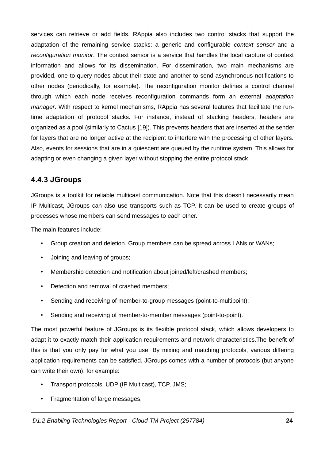services can retrieve or add fields. RAppia also includes two control stacks that support the adaptation of the remaining service stacks: a generic and configurable context sensor and a reconfiguration monitor. The context sensor is a service that handles the local capture of context information and allows for its dissemination. For dissemination, two main mechanisms are provided, one to query nodes about their state and another to send asynchronous notifications to other nodes (periodically, for example). The reconfiguration monitor defines a control channel through which each node receives reconfiguration commands form an external adaptation manager. With respect to kernel mechanisms, RAppia has several features that facilitate the runtime adaptation of protocol stacks. For instance, instead of stacking headers, headers are organized as a pool (similarly to Cactus [19]). This prevents headers that are inserted at the sender for layers that are no longer active at the recipient to interfere with the processing of other layers. Also, events for sessions that are in a quiescent are queued by the runtime system. This allows for adapting or even changing a given layer without stopping the entire protocol stack.

#### 4.4.3 JGroups

JGroups is a toolkit for reliable multicast communication. Note that this doesn't necessarily mean IP Multicast, JGroups can also use transports such as TCP. It can be used to create groups of processes whose members can send messages to each other.

The main features include:

- Group creation and deletion. Group members can be spread across LANs or WANs;  $\bullet$  .
- Joining and leaving of groups:
- Membership detection and notification about joined/left/crashed members;  $\bullet$
- Detection and removal of crashed members;  $\bullet$
- $\bullet$ Sending and receiving of member-to-group messages (point-to-multipoint):
- Sending and receiving of member-to-member messages (point-to-point).  $\bullet$

The most powerful feature of JGroups is its flexible protocol stack, which allows developers to adapt it to exactly match their application requirements and network characteristics. The benefit of this is that you only pay for what you use. By mixing and matching protocols, various differing application requirements can be satisfied. JGroups comes with a number of protocols (but anyone can write their own), for example:

- $\bullet$  . Transport protocols: UDP (IP Multicast), TCP, JMS;
- Fragmentation of large messages;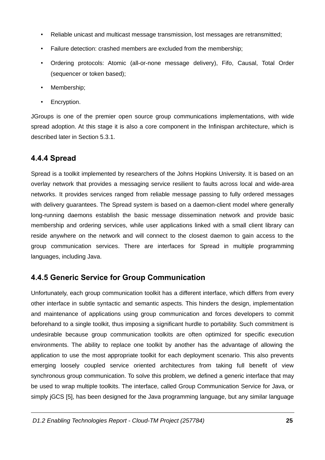- Reliable unicast and multicast message transmission, lost messages are retransmitted;  $\bullet$
- Failure detection: crashed members are excluded from the membership;
- Ordering protocols: Atomic (all-or-none message delivery), Fifo, Causal, Total Order (sequencer or token based);
- Membership:
- Encryption.  $\bullet$

JGroups is one of the premier open source group communications implementations, with wide spread adoption. At this stage it is also a core component in the Infinispan architecture, which is described later in Section 5.3.1.

#### 4.4.4 Spread

Spread is a toolkit implemented by researchers of the Johns Hopkins University. It is based on an overlay network that provides a messaging service resilient to faults across local and wide-area networks. It provides services ranged from reliable message passing to fully ordered messages with delivery guarantees. The Spread system is based on a daemon-client model where generally long-running daemons establish the basic message dissemination network and provide basic membership and ordering services, while user applications linked with a small client library can reside anywhere on the network and will connect to the closest daemon to gain access to the group communication services. There are interfaces for Spread in multiple programming languages, including Java.

### 4.4.5 Generic Service for Group Communication

Unfortunately, each group communication toolkit has a different interface, which differs from every other interface in subtle syntactic and semantic aspects. This hinders the design, implementation and maintenance of applications using group communication and forces developers to commit beforehand to a single toolkit, thus imposing a significant hurdle to portability. Such commitment is undesirable because group communication toolkits are often optimized for specific execution environments. The ability to replace one toolkit by another has the advantage of allowing the application to use the most appropriate toolkit for each deployment scenario. This also prevents emerging loosely coupled service oriented architectures from taking full benefit of view synchronous group communication. To solve this problem, we defined a generic interface that may be used to wrap multiple toolkits. The interface, called Group Communication Service for Java, or simply jGCS [5], has been designed for the Java programming language, but any similar language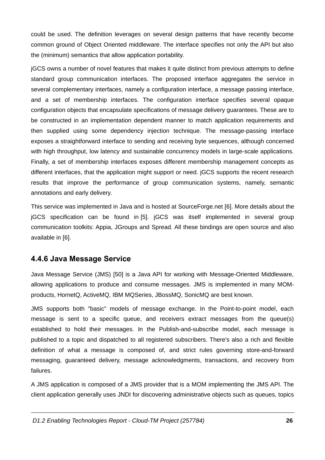could be used. The definition leverages on several design patterns that have recently become common ground of Object Oriented middleware. The interface specifies not only the API but also the (minimum) semantics that allow application portability.

jGCS owns a number of novel features that makes it quite distinct from previous attempts to define standard group communication interfaces. The proposed interface aggregates the service in several complementary interfaces, namely a configuration interface, a message passing interface, and a set of membership interfaces. The configuration interface specifies several opaque configuration objects that encapsulate specifications of message delivery guarantees. These are to be constructed in an implementation dependent manner to match application requirements and then supplied using some dependency injection technique. The message-passing interface exposes a straightforward interface to sending and receiving byte sequences, although concerned with high throughput, low latency and sustainable concurrency models in large-scale applications. Finally, a set of membership interfaces exposes different membership management concepts as different interfaces, that the application might support or need. jGCS supports the recent research results that improve the performance of group communication systems, namely, semantic annotations and early delivery.

This service was implemented in Java and is hosted at SourceForge.net [6]. More details about the jGCS specification can be found in [5]. jGCS was itself implemented in several group communication toolkits: Appia, JGroups and Spread. All these bindings are open source and also available in [6].

#### 4.4.6 Java Message Service

Java Message Service (JMS) [50] is a Java API for working with Message-Oriented Middleware, allowing applications to produce and consume messages. JMS is implemented in many MOMproducts, HornetQ, ActiveMQ, IBM MQSeries, JBossMQ, SonicMQ are best known.

JMS supports both "basic" models of message exchange. In the Point-to-point model, each message is sent to a specific queue, and receivers extract messages from the queue(s) established to hold their messages. In the Publish-and-subscribe model, each message is published to a topic and dispatched to all registered subscribers. There's also a rich and flexible definition of what a message is composed of, and strict rules governing store-and-forward messaging, guaranteed delivery, message acknowledgments, transactions, and recovery from failures.

A JMS application is composed of a JMS provider that is a MOM implementing the JMS API. The client application generally uses JNDI for discovering administrative objects such as queues, topics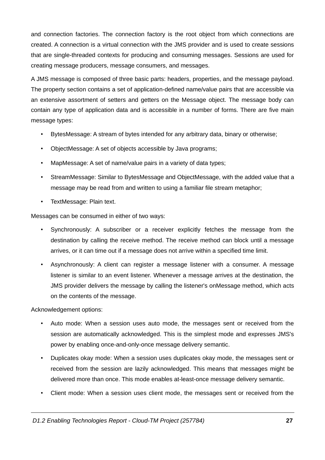and connection factories. The connection factory is the root object from which connections are created. A connection is a virtual connection with the JMS provider and is used to create sessions that are single-threaded contexts for producing and consuming messages. Sessions are used for creating message producers, message consumers, and messages.

A JMS message is composed of three basic parts: headers, properties, and the message payload. The property section contains a set of application-defined name/value pairs that are accessible via an extensive assortment of setters and getters on the Message object. The message body can contain any type of application data and is accessible in a number of forms. There are five main message types:

- BytesMessage: A stream of bytes intended for any arbitrary data, binary or otherwise;
- ObjectMessage: A set of objects accessible by Java programs;  $\bullet$  .
- MapMessage: A set of name/value pairs in a variety of data types;  $\bullet$  .
- StreamMessage: Similar to BytesMessage and ObjectMessage, with the added value that a message may be read from and written to using a familiar file stream metaphor;
- TextMessage: Plain text.

Messages can be consumed in either of two ways:

- Synchronously: A subscriber or a receiver explicitly fetches the message from the  $\bullet$  . destination by calling the receive method. The receive method can block until a message arrives, or it can time out if a message does not arrive within a specified time limit.
- Asynchronously: A client can register a message listener with a consumer. A message listener is similar to an event listener. Whenever a message arrives at the destination, the JMS provider delivers the message by calling the listener's onMessage method, which acts on the contents of the message.

Acknowledgement options:

- Auto mode: When a session uses auto mode, the messages sent or received from the session are automatically acknowledged. This is the simplest mode and expresses JMS's power by enabling once-and-only-once message delivery semantic.
- Duplicates okay mode: When a session uses duplicates okay mode, the messages sent or  $\bullet$  . received from the session are lazily acknowledged. This means that messages might be delivered more than once. This mode enables at-least-once message delivery semantic.
- Client mode: When a session uses client mode, the messages sent or received from the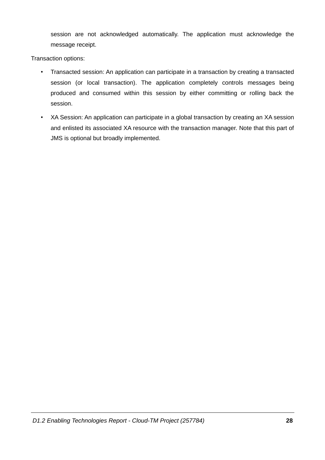session are not acknowledged automatically. The application must acknowledge the message receipt.

Transaction options:

- Transacted session: An application can participate in a transaction by creating a transacted  $\bullet$ session (or local transaction). The application completely controls messages being produced and consumed within this session by either committing or rolling back the session.
- XA Session: An application can participate in a global transaction by creating an XA session and enlisted its associated XA resource with the transaction manager. Note that this part of JMS is optional but broadly implemented.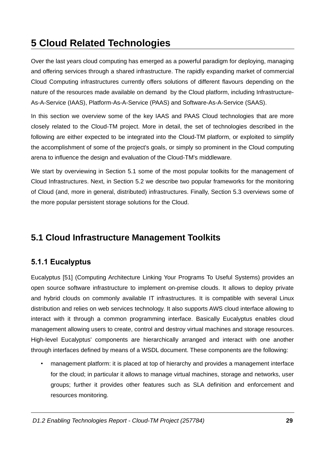# **5 Cloud Related Technologies**

Over the last years cloud computing has emerged as a powerful paradigm for deploying, managing and offering services through a shared infrastructure. The rapidly expanding market of commercial Cloud Computing infrastructures currently offers solutions of different flavours depending on the nature of the resources made available on demand by the Cloud platform, including Infrastructure-As-A-Service (IAAS), Platform-As-A-Service (PAAS) and Software-As-A-Service (SAAS).

In this section we overview some of the key IAAS and PAAS Cloud technologies that are more closely related to the Cloud-TM project. More in detail, the set of technologies described in the following are either expected to be integrated into the Cloud-TM platform, or exploited to simplify the accomplishment of some of the project's goals, or simply so prominent in the Cloud computing arena to influence the design and evaluation of the Cloud-TM's middleware.

We start by overviewing in Section 5.1 some of the most popular toolkits for the management of Cloud Infrastructures. Next, in Section 5.2 we describe two popular frameworks for the monitoring of Cloud (and, more in general, distributed) infrastructures. Finally, Section 5.3 overviews some of the more popular persistent storage solutions for the Cloud.

## 5.1 Cloud Infrastructure Management Toolkits

### 5.1.1 Eucalyptus

Eucalyptus [51] (Computing Architecture Linking Your Programs To Useful Systems) provides an open source software infrastructure to implement on-premise clouds. It allows to deploy private and hybrid clouds on commonly available IT infrastructures. It is compatible with several Linux distribution and relies on web services technology. It also supports AWS cloud interface allowing to interact with it through a common programming interface. Basically Eucalyptus enables cloud management allowing users to create, control and destroy virtual machines and storage resources. High-level Eucalyptus' components are hierarchically arranged and interact with one another through interfaces defined by means of a WSDL document. These components are the following:

management platform: it is placed at top of hierarchy and provides a management interface for the cloud: in particular it allows to manage virtual machines, storage and networks, user groups; further it provides other features such as SLA definition and enforcement and resources monitoring.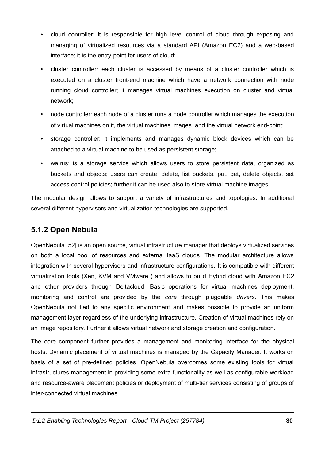- cloud controller: it is responsible for high level control of cloud through exposing and  $\bullet$ managing of virtualized resources via a standard API (Amazon EC2) and a web-based interface; it is the entry-point for users of cloud;
- cluster controller: each cluster is accessed by means of a cluster controller which is executed on a cluster front-end machine which have a network connection with node running cloud controller; it manages virtual machines execution on cluster and virtual network:
- node controller: each node of a cluster runs a node controller which manages the execution  $\bullet$ of virtual machines on it, the virtual machines images and the virtual network end-point;
- storage controller: it implements and manages dynamic block devices which can be  $\bullet$  . attached to a virtual machine to be used as persistent storage;
- walrus: is a storage service which allows users to store persistent data, organized as  $\bullet$ buckets and objects; users can create, delete, list buckets, put, get, delete objects, set access control policies; further it can be used also to store virtual machine images.

The modular design allows to support a variety of infrastructures and topologies. In additional several different hypervisors and virtualization technologies are supported.

#### 5.1.2 Open Nebula

OpenNebula [52] is an open source, virtual infrastructure manager that deploys virtualized services on both a local pool of resources and external laaS clouds. The modular architecture allows integration with several hypervisors and infrastructure configurations. It is compatible with different virtualization tools (Xen, KVM and VMware) and allows to build Hybrid cloud with Amazon EC2 and other providers through Deltacloud. Basic operations for virtual machines deployment, monitoring and control are provided by the core through pluggable drivers. This makes OpenNebula not tied to any specific environment and makes possible to provide an uniform management layer regardless of the underlying infrastructure. Creation of virtual machines rely on an image repository. Further it allows virtual network and storage creation and configuration.

The core component further provides a management and monitoring interface for the physical hosts. Dynamic placement of virtual machines is managed by the Capacity Manager. It works on basis of a set of pre-defined policies. OpenNebula overcomes some existing tools for virtual infrastructures management in providing some extra functionality as well as configurable workload and resource-aware placement policies or deployment of multi-tier services consisting of groups of inter-connected virtual machines.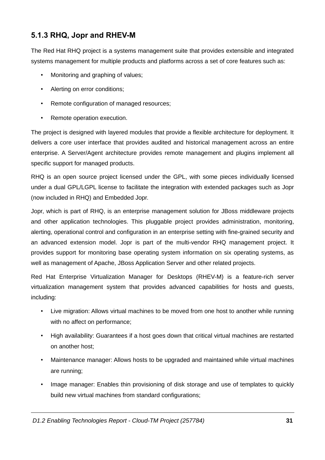### 5.1.3 RHQ, Jopr and RHEV-M

The Red Hat RHQ project is a systems management suite that provides extensible and integrated systems management for multiple products and platforms across a set of core features such as:

- Monitoring and graphing of values;  $\bullet$
- Alerting on error conditions;  $\bullet$  .
- Remote configuration of managed resources;
- $\bullet$ Remote operation execution.

The project is designed with layered modules that provide a flexible architecture for deployment. It delivers a core user interface that provides audited and historical management across an entire enterprise. A Server/Agent architecture provides remote management and plugins implement all specific support for managed products.

RHQ is an open source project licensed under the GPL, with some pieces individually licensed under a dual GPL/LGPL license to facilitate the integration with extended packages such as Jopr (now included in RHQ) and Embedded Jopr.

Jopr, which is part of RHQ, is an enterprise management solution for JBoss middleware projects and other application technologies. This pluggable project provides administration, monitoring, alerting, operational control and configuration in an enterprise setting with fine-grained security and an advanced extension model. Jopr is part of the multi-vendor RHQ management project. It provides support for monitoring base operating system information on six operating systems, as well as management of Apache, JBoss Application Server and other related projects.

Red Hat Enterprise Virtualization Manager for Desktops (RHEV-M) is a feature-rich server virtualization management system that provides advanced capabilities for hosts and guests, includina:

- Live migration: Allows virtual machines to be moved from one host to another while running with no affect on performance;
- $\bullet$  . High availability: Guarantees if a host goes down that critical virtual machines are restarted on another host;
- Maintenance manager: Allows hosts to be upgraded and maintained while virtual machines  $\bullet$ are running:
- $\bullet$ Image manager: Enables thin provisioning of disk storage and use of templates to quickly build new virtual machines from standard configurations;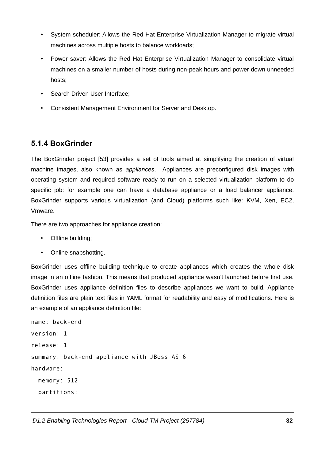- System scheduler: Allows the Red Hat Enterprise Virtualization Manager to migrate virtual  $\bullet$ machines across multiple hosts to balance workloads:
- Power saver: Allows the Red Hat Enterprise Virtualization Manager to consolidate virtual machines on a smaller number of hosts during non-peak hours and power down unneeded hosts:
- Search Driven User Interface:
- Consistent Management Environment for Server and Desktop.

#### 5.1.4 BoxGrinder

The BoxGrinder project [53] provides a set of tools aimed at simplifying the creation of virtual machine images, also known as appliances. Appliances are preconfigured disk images with operating system and required software ready to run on a selected virtualization platform to do specific job: for example one can have a database appliance or a load balancer appliance. BoxGrinder supports various virtualization (and Cloud) platforms such like: KVM, Xen, EC2. Vmware.

There are two approaches for appliance creation:

- Offline building:
- Online snapshotting.

BoxGrinder uses offline building technique to create appliances which creates the whole disk image in an offline fashion. This means that produced appliance wasn't launched before first use. BoxGrinder uses appliance definition files to describe appliances we want to build. Appliance definition files are plain text files in YAML format for readability and easy of modifications. Here is an example of an appliance definition file:

```
name: back-end
version: 1
release: 1
summary: back-end appliance with JBoss AS 6
hardware:
  memory: 512
  partitions:
```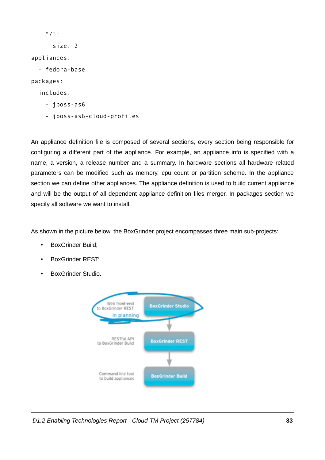| " / " :     |
|-------------|
| size: 2     |
| appliances: |
| fedora-base |
| packages:   |
| includes:   |
| jboss-as6   |

- jboss-as6-cloud-profiles

An appliance definition file is composed of several sections, every section being responsible for configuring a different part of the appliance. For example, an appliance info is specified with a name, a version, a release number and a summary. In hardware sections all hardware related parameters can be modified such as memory, cpu count or partition scheme. In the appliance section we can define other appliances. The appliance definition is used to build current appliance and will be the output of all dependent appliance definition files merger. In packages section we specify all software we want to install.

As shown in the picture below, the BoxGrinder project encompasses three main sub-projects:

- **BoxGrinder Build:**
- **BoxGrinder REST:**
- **BoxGrinder Studio.**  $\bullet$



D1.2 Enabling Technologies Report - Cloud-TM Project (257784)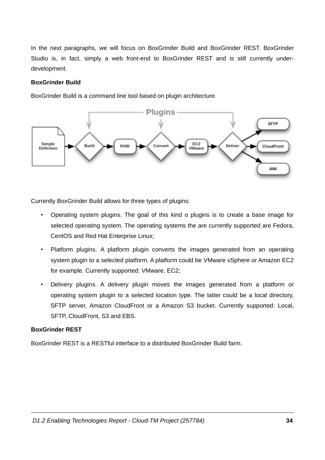In the next paragraphs, we will focus on BoxGrinder Build and BoxGrinder REST. BoxGrinder Studio is, in fact, simply a web front-end to BoxGrinder REST and is still currently underdevelopment.

#### **BoxGrinder Build**

BoxGrinder Build is a command line tool based on plugin architecture.



Currently BoxGrinder Build allows for three types of plugins:

- Operating system plugins. The goal of this kind o plugins is to create a base image for selected operating system. The operating systems the are currently supported are Fedora, CentOS and Red Hat Enterprise Linux;
- $\bullet$  . Platform plugins. A platform plugin converts the images generated from an operating system plugin to a selected platform. A platform could be VMware vSphere or Amazon EC2 for example. Currently supported: VMware, EC2;
- $\bullet$ Delivery plugins. A delivery plugin moves the images generated from a platform or operating system plugin to a selected location type. The latter could be a local directory, SFTP server, Amazon CloudFront or a Amazon S3 bucket. Currently supported: Local, SFTP, CloudFront, S3 and EBS.

#### **BoxGrinder REST**

BoxGrinder REST is a RESTful interface to a distributed BoxGrinder Build farm.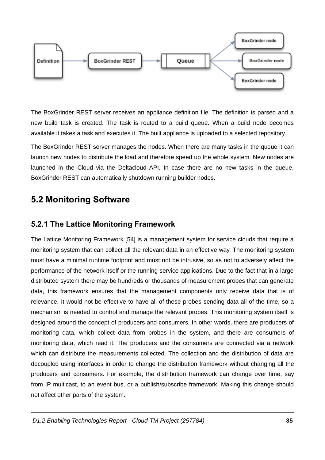

The BoxGrinder REST server receives an appliance definition file. The definition is parsed and a new build task is created. The task is routed to a build queue. When a build node becomes available it takes a task and executes it. The built appliance is uploaded to a selected repository.

The BoxGrinder REST server manages the nodes. When there are many tasks in the queue it can launch new nodes to distribute the load and therefore speed up the whole system. New nodes are launched in the Cloud via the Deltacloud API. In case there are no new tasks in the queue, BoxGrinder REST can automatically shutdown running builder nodes.

## **5.2 Monitoring Software**

#### 5.2.1 The Lattice Monitoring Framework

The Lattice Monitoring Framework [54] is a management system for service clouds that require a monitoring system that can collect all the relevant data in an effective way. The monitoring system must have a minimal runtime footprint and must not be intrusive, so as not to adversely affect the performance of the network itself or the running service applications. Due to the fact that in a large distributed system there may be hundreds or thousands of measurement probes that can generate data, this framework ensures that the management components only receive data that is of relevance. It would not be effective to have all of these probes sending data all of the time, so a mechanism is needed to control and manage the relevant probes. This monitoring system itself is designed around the concept of producers and consumers. In other words, there are producers of monitoring data, which collect data from probes in the system, and there are consumers of monitoring data, which read it. The producers and the consumers are connected via a network which can distribute the measurements collected. The collection and the distribution of data are decoupled using interfaces in order to change the distribution framework without changing all the producers and consumers. For example, the distribution framework can change over time, say from IP multicast, to an event bus, or a publish/subscribe framework. Making this change should not affect other parts of the system.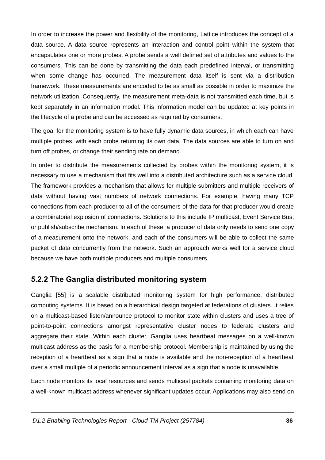In order to increase the power and flexibility of the monitoring, Lattice introduces the concept of a data source. A data source represents an interaction and control point within the system that encapsulates one or more probes. A probe sends a well defined set of attributes and values to the consumers. This can be done by transmitting the data each predefined interval, or transmitting when some change has occurred. The measurement data itself is sent via a distribution framework. These measurements are encoded to be as small as possible in order to maximize the network utilization. Consequently, the measurement meta-data is not transmitted each time, but is kept separately in an information model. This information model can be updated at key points in the lifecycle of a probe and can be accessed as required by consumers.

The goal for the monitoring system is to have fully dynamic data sources, in which each can have multiple probes, with each probe returning its own data. The data sources are able to turn on and turn off probes, or change their sending rate on demand.

In order to distribute the measurements collected by probes within the monitoring system, it is necessary to use a mechanism that fits well into a distributed architecture such as a service cloud. The framework provides a mechanism that allows for multiple submitters and multiple receivers of data without having vast numbers of network connections. For example, having many TCP connections from each producer to all of the consumers of the data for that producer would create a combinatorial explosion of connections. Solutions to this include IP multicast, Event Service Bus, or publish/subscribe mechanism. In each of these, a producer of data only needs to send one copy of a measurement onto the network, and each of the consumers will be able to collect the same packet of data concurrently from the network. Such an approach works well for a service cloud because we have both multiple producers and multiple consumers.

#### 5.2.2 The Ganglia distributed monitoring system

Ganglia [55] is a scalable distributed monitoring system for high performance, distributed computing systems. It is based on a hierarchical design targeted at federations of clusters. It relies on a multicast-based listen/announce protocol to monitor state within clusters and uses a tree of point-to-point connections amongst representative cluster nodes to federate clusters and aggregate their state. Within each cluster, Ganglia uses heartbeat messages on a well-known multicast address as the basis for a membership protocol. Membership is maintained by using the reception of a heartbeat as a sign that a node is available and the non-reception of a heartbeat over a small multiple of a periodic announcement interval as a sign that a node is unavailable.

Each node monitors its local resources and sends multicast packets containing monitoring data on a well-known multicast address whenever significant updates occur. Applications may also send on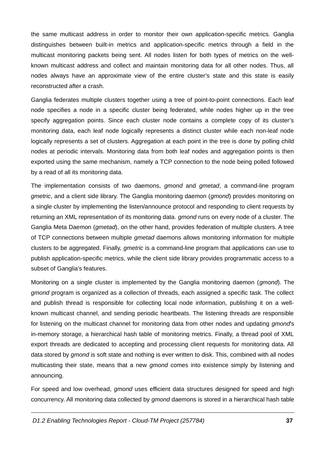the same multicast address in order to monitor their own application-specific metrics. Ganglia distinguishes between built-in metrics and application-specific metrics through a field in the multicast monitoring packets being sent. All nodes listen for both types of metrics on the wellknown multicast address and collect and maintain monitoring data for all other nodes. Thus, all nodes always have an approximate view of the entire cluster's state and this state is easily reconstructed after a crash.

Ganglia federates multiple clusters together using a tree of point-to-point connections. Each leaf node specifies a node in a specific cluster being federated, while nodes higher up in the tree specify aggregation points. Since each cluster node contains a complete copy of its cluster's monitoring data, each leaf node logically represents a distinct cluster while each non-leaf node logically represents a set of clusters. Aggregation at each point in the tree is done by polling child nodes at periodic intervals. Monitoring data from both leaf nodes and aggregation points is then exported using the same mechanism, namely a TCP connection to the node being polled followed by a read of all its monitoring data.

The implementation consists of two daemons, gmond and gmetad, a command-line program *gmetric*, and a client side library. The Ganglia monitoring daemon (*gmond*) provides monitoring on a single cluster by implementing the listen/announce protocol and responding to client requests by returning an XML representation of its monitoring data. *gmond* runs on every node of a cluster. The Ganglia Meta Daemon (*gmetad*), on the other hand, provides federation of multiple clusters. A tree of TCP connections between multiple *gmetad* daemons allows monitoring information for multiple clusters to be aggregated. Finally, *gmetric* is a command-line program that applications can use to publish application-specific metrics, while the client side library provides programmatic access to a subset of Ganglia's features.

Monitoring on a single cluster is implemented by the Ganglia monitoring daemon (gmond). The gmond program is organized as a collection of threads, each assigned a specific task. The collect and publish thread is responsible for collecting local node information, publishing it on a wellknown multicast channel, and sending periodic heartbeats. The listening threads are responsible for listening on the multicast channel for monitoring data from other nodes and updating gmond's in-memory storage, a hierarchical hash table of monitoring metrics. Finally, a thread pool of XML export threads are dedicated to accepting and processing client requests for monitoring data. All data stored by gmond is soft state and nothing is ever written to disk. This, combined with all nodes multicasting their state, means that a new *gmond* comes into existence simply by listening and announcing.

For speed and low overhead, *gmond* uses efficient data structures designed for speed and high concurrency. All monitoring data collected by *gmond* daemons is stored in a hierarchical hash table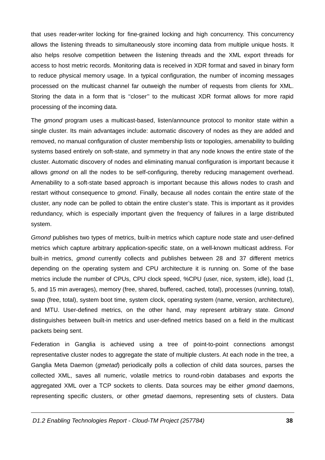that uses reader-writer locking for fine-grained locking and high concurrency. This concurrency allows the listening threads to simultaneously store incoming data from multiple unique hosts. It also helps resolve competition between the listening threads and the XML export threads for access to host metric records. Monitoring data is received in XDR format and saved in binary form to reduce physical memory usage. In a typical configuration, the number of incoming messages processed on the multicast channel far outweigh the number of requests from clients for XML. Storing the data in a form that is "closer" to the multicast XDR format allows for more rapid processing of the incoming data.

The gmond program uses a multicast-based, listen/announce protocol to monitor state within a single cluster. Its main advantages include: automatic discovery of nodes as they are added and removed, no manual configuration of cluster membership lists or topologies, amenability to building systems based entirely on soft-state, and symmetry in that any node knows the entire state of the cluster. Automatic discovery of nodes and eliminating manual configuration is important because it allows gmond on all the nodes to be self-configuring, thereby reducing management overhead. Amenability to a soft-state based approach is important because this allows nodes to crash and restart without consequence to *gmond*. Finally, because all nodes contain the entire state of the cluster, any node can be polled to obtain the entire cluster's state. This is important as it provides redundancy, which is especially important given the frequency of failures in a large distributed system.

Gmond publishes two types of metrics, built-in metrics which capture node state and user-defined metrics which capture arbitrary application-specific state, on a well-known multicast address. For built-in metrics, *gmond* currently collects and publishes between 28 and 37 different metrics depending on the operating system and CPU architecture it is running on. Some of the base metrics include the number of CPUs, CPU clock speed, %CPU (user, nice, system, idle), load (1, 5, and 15 min averages), memory (free, shared, buffered, cached, total), processes (running, total), swap (free, total), system boot time, system clock, operating system (name, version, architecture), and MTU. User-defined metrics, on the other hand, may represent arbitrary state. Gmond distinguishes between built-in metrics and user-defined metrics based on a field in the multicast packets being sent.

Federation in Ganglia is achieved using a tree of point-to-point connections amongst representative cluster nodes to aggregate the state of multiple clusters. At each node in the tree, a Ganglia Meta Daemon (*gmetad*) periodically polls a collection of child data sources, parses the collected XML, saves all numeric, volatile metrics to round-robin databases and exports the aggregated XML over a TCP sockets to clients. Data sources may be either *gmond* daemons, representing specific clusters, or other *gmetad* daemons, representing sets of clusters. Data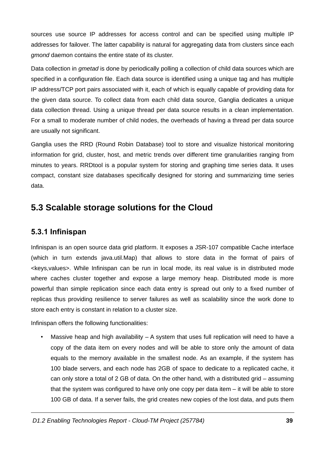sources use source IP addresses for access control and can be specified using multiple IP addresses for failover. The latter capability is natural for aggregating data from clusters since each *amond* daemon contains the entire state of its cluster.

Data collection in gmetad is done by periodically polling a collection of child data sources which are specified in a configuration file. Each data source is identified using a unique tag and has multiple IP address/TCP port pairs associated with it, each of which is equally capable of providing data for the given data source. To collect data from each child data source. Ganglia dedicates a unique data collection thread. Using a unique thread per data source results in a clean implementation. For a small to moderate number of child nodes, the overheads of having a thread per data source are usually not significant.

Ganglia uses the RRD (Round Robin Database) tool to store and visualize historical monitoring information for grid, cluster, host, and metric trends over different time granularities ranging from minutes to years. RRDtool is a popular system for storing and graphing time series data. It uses compact, constant size databases specifically designed for storing and summarizing time series data.

### 5.3 Scalable storage solutions for the Cloud

### 5.3.1 Infinispan

Infinispan is an open source data grid platform. It exposes a JSR-107 compatible Cache interface (which in turn extends java.util.Map) that allows to store data in the format of pairs of <keys, values>. While Infinispan can be run in local mode, its real value is in distributed mode where caches cluster together and expose a large memory heap. Distributed mode is more powerful than simple replication since each data entry is spread out only to a fixed number of replicas thus providing resilience to server failures as well as scalability since the work done to store each entry is constant in relation to a cluster size.

Infinispan offers the following functionalities:

Massive heap and high availability - A system that uses full replication will need to have a copy of the data item on every nodes and will be able to store only the amount of data equals to the memory available in the smallest node. As an example, if the system has 100 blade servers, and each node has 2GB of space to dedicate to a replicated cache, it can only store a total of 2 GB of data. On the other hand, with a distributed grid – assuming that the system was configured to have only one copy per data item  $-$  it will be able to store 100 GB of data. If a server fails, the grid creates new copies of the lost data, and puts them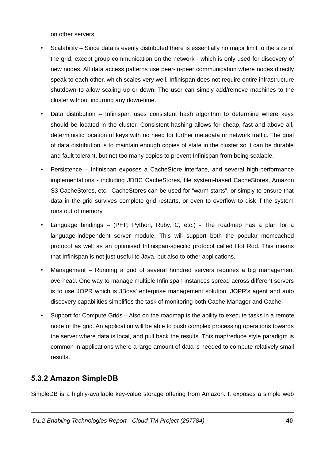on other servers.

- Scalability Since data is evenly distributed there is essentially no major limit to the size of the grid, except group communication on the network - which is only used for discovery of new nodes. All data access patterns use peer-to-peer communication where nodes directly speak to each other, which scales very well. Infinispan does not require entire infrastructure shutdown to allow scaling up or down. The user can simply add/remove machines to the cluster without incurring any down-time.
- Data distribution Infinispan uses consistent hash algorithm to determine where keys  $\bullet$ should be located in the cluster. Consistent hashing allows for cheap, fast and above all, deterministic location of keys with no need for further metadata or network traffic. The goal of data distribution is to maintain enough copies of state in the cluster so it can be durable and fault tolerant, but not too many copies to prevent Infinispan from being scalable.
- $\bullet$  . Persistence – Infinispan exposes a CacheStore interface, and several high-performance implementations - including JDBC CacheStores, file system-based CacheStores, Amazon S3 CacheStores, etc. CacheStores can be used for "warm starts", or simply to ensure that data in the grid survives complete grid restarts, or even to overflow to disk if the system runs out of memory.
- Language bindings (PHP, Python, Ruby, C, etc.) The roadmap has a plan for a  $\bullet$ language-independent server module. This will support both the popular memcached protocol as well as an optimised Infinispan-specific protocol called Hot Rod. This means that Infinispan is not just useful to Java, but also to other applications.
- Management Running a grid of several hundred servers requires a big management overhead. One way to manage multiple Infinispan instances spread across different servers is to use JOPR which is JBoss' enterprise management solution. JOPR's agent and auto discovery capabilities simplifies the task of monitoring both Cache Manager and Cache.
- $\bullet$ Support for Compute Grids – Also on the roadmap is the ability to execute tasks in a remote node of the grid. An application will be able to push complex processing operations towards the server where data is local, and pull back the results. This map/reduce style paradigm is common in applications where a large amount of data is needed to compute relatively small results.

### 5.3.2 Amazon SimpleDB

SimpleDB is a highly-available key-value storage offering from Amazon. It exposes a simple web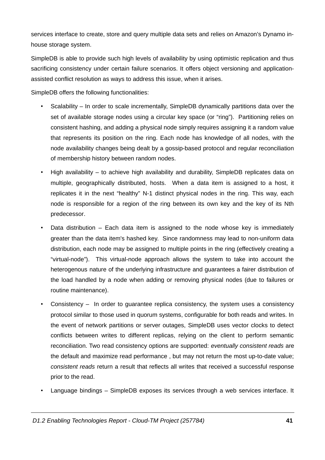services interface to create, store and query multiple data sets and relies on Amazon's Dynamo inhouse storage system.

SimpleDB is able to provide such high levels of availability by using optimistic replication and thus sacrificing consistency under certain failure scenarios. It offers object versioning and applicationassisted conflict resolution as ways to address this issue, when it arises.

SimpleDB offers the following functionalities:

- $\bullet$ Scalability - In order to scale incrementally, SimpleDB dynamically partitions data over the set of available storage nodes using a circular key space (or "ring"). Partitioning relies on consistent hashing, and adding a physical node simply requires assigning it a random value that represents its position on the ring. Each node has knowledge of all nodes, with the node availability changes being dealt by a gossip-based protocol and regular reconciliation of membership history between random nodes.
- High availability  $-$  to achieve high availability and durability, SimpleDB replicates data on multiple, geographically distributed, hosts. When a data item is assigned to a host, it replicates it in the next "healthy" N-1 distinct physical nodes in the ring. This way, each node is responsible for a region of the ring between its own key and the key of its Nth predecessor.
- Data distribution  $-$  Each data item is assigned to the node whose key is immediately greater than the data item's hashed key. Since randomness may lead to non-uniform data distribution, each node may be assigned to multiple points in the ring (effectively creating a "virtual-node"). This virtual-node approach allows the system to take into account the heterogenous nature of the underlying infrastructure and quarantees a fairer distribution of the load handled by a node when adding or removing physical nodes (due to failures or routine maintenance).
- Consistency In order to quarantee replica consistency, the system uses a consistency  $\bullet$ protocol similar to those used in quorum systems, configurable for both reads and writes. In the event of network partitions or server outages. SimpleDB uses vector clocks to detect conflicts between writes to different replicas, relying on the client to perform semantic reconciliation. Two read consistency options are supported: eventually consistent reads are the default and maximize read performance, but may not return the most up-to-date value; consistent reads return a result that reflects all writes that received a successful response prior to the read.
- Language bindings SimpleDB exposes its services through a web services interface. It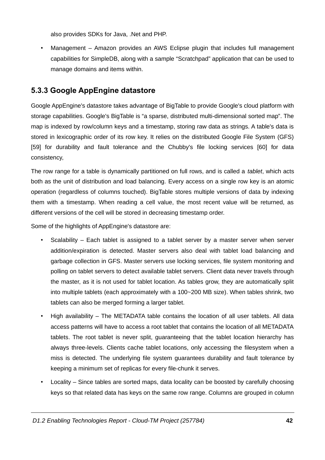also provides SDKs for Java, .Net and PHP.

Management - Amazon provides an AWS Eclipse plugin that includes full management  $\bullet$ capabilities for SimpleDB, along with a sample "Scratchpad" application that can be used to manage domains and items within.

#### 5.3.3 Google AppEngine datastore

Google AppEngine's datastore takes advantage of BigTable to provide Google's cloud platform with storage capabilities. Google's BigTable is "a sparse, distributed multi-dimensional sorted map". The map is indexed by row/column keys and a timestamp, storing raw data as strings. A table's data is stored in lexicographic order of its row key. It relies on the distributed Google File System (GFS) [59] for durability and fault tolerance and the Chubby's file locking services [60] for data consistency.

The row range for a table is dynamically partitioned on full rows, and is called a *tablet*, which acts both as the unit of distribution and load balancing. Every access on a single row key is an atomic operation (regardless of columns touched). BigTable stores multiple versions of data by indexing them with a timestamp. When reading a cell value, the most recent value will be returned, as different versions of the cell will be stored in decreasing timestamp order.

Some of the highlights of AppEngine's datastore are:

- Scalability Each tablet is assigned to a tablet server by a master server when server  $\bullet$ addition/expiration is detected. Master servers also deal with tablet load balancing and garbage collection in GFS. Master servers use locking services, file system monitoring and polling on tablet servers to detect available tablet servers. Client data never travels through the master, as it is not used for tablet location. As tables grow, they are automatically split into multiple tablets (each approximately with a 100~200 MB size). When tables shrink, two tablets can also be merged forming a larger tablet.
- High availability The METADATA table contains the location of all user tablets. All data  $\bullet$  . access patterns will have to access a root tablet that contains the location of all METADATA tablets. The root tablet is never split, guaranteeing that the tablet location hierarchy has always three-levels. Clients cache tablet locations, only accessing the filesystem when a miss is detected. The underlying file system guarantees durability and fault tolerance by keeping a minimum set of replicas for every file-chunk it serves.
- Locality Since tables are sorted maps, data locality can be boosted by carefully choosing keys so that related data has keys on the same row range. Columns are grouped in column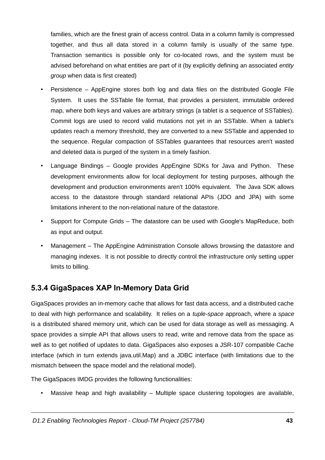families, which are the finest grain of access control. Data in a column family is compressed together, and thus all data stored in a column family is usually of the same type. Transaction semantics is possible only for co-located rows, and the system must be advised beforehand on what entities are part of it (by explicitly defining an associated entity group when data is first created)

- Persistence AppEngine stores both log and data files on the distributed Google File  $\bullet$  . System. It uses the SSTable file format, that provides a persistent, immutable ordered map, where both keys and values are arbitrary strings (a tablet is a sequence of SSTables). Commit logs are used to record valid mutations not yet in an SSTable. When a tablet's updates reach a memory threshold, they are converted to a new SSTable and appended to the sequence. Regular compaction of SSTables guarantees that resources aren't wasted and deleted data is purged of the system in a timely fashion.
- Language Bindings Google provides AppEngine SDKs for Java and Python. These development environments allow for local deployment for testing purposes, although the development and production environments aren't 100% equivalent. The Java SDK allows access to the datastore through standard relational APIs (JDO and JPA) with some limitations inherent to the non-relational nature of the datastore.
- Support for Compute Grids The datastore can be used with Google's MapReduce, both as input and output.
- Management The AppEngine Administration Console allows browsing the datastore and managing indexes. It is not possible to directly control the infrastructure only setting upper limits to billing.

#### 5.3.4 GigaSpaces XAP In-Memory Data Grid

GigaSpaces provides an in-memory cache that allows for fast data access, and a distributed cache to deal with high performance and scalability. It relies on a tuple-space approach, where a space is a distributed shared memory unit, which can be used for data storage as well as messaging. A space provides a simple API that allows users to read, write and remove data from the space as well as to get notified of updates to data. GigaSpaces also exposes a JSR-107 compatible Cache interface (which in turn extends java.util.Map) and a JDBC interface (with limitations due to the mismatch between the space model and the relational model).

The GigaSpaces IMDG provides the following functionalities:

Massive heap and high availability – Multiple space clustering topologies are available.  $\bullet$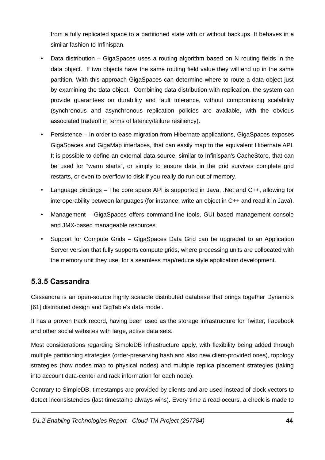from a fully replicated space to a partitioned state with or without backups. It behaves in a similar fashion to Infinispan.

- Data distribution GigaSpaces uses a routing algorithm based on N routing fields in the  $\bullet$ data object. If two objects have the same routing field value they will end up in the same partition. With this approach GigaSpaces can determine where to route a data object just by examining the data object. Combining data distribution with replication, the system can provide quarantees on durability and fault tolerance, without compromising scalability (synchronous and asynchronous replication policies are available, with the obvious associated tradeoff in terms of latency/failure resiliency).
- Persistence In order to ease migration from Hibernate applications, GigaSpaces exposes GigaSpaces and GigaMap interfaces, that can easily map to the equivalent Hibernate API. It is possible to define an external data source, similar to Infinispan's CacheStore, that can be used for "warm starts", or simply to ensure data in the grid survives complete grid restarts, or even to overflow to disk if you really do run out of memory.
- Language bindings The core space API is supported in Java. . Net and C++, allowing for interoperability between languages (for instance, write an object in C++ and read it in Java).
- Management GigaSpaces offers command-line tools, GUI based management console and JMX-based manageable resources.
- Support for Compute Grids GigaSpaces Data Grid can be upgraded to an Application Server version that fully supports compute grids, where processing units are collocated with the memory unit they use, for a seamless map/reduce style application development.

#### 5.3.5 Cassandra

Cassandra is an open-source highly scalable distributed database that brings together Dynamo's [61] distributed design and BigTable's data model.

It has a proven track record, having been used as the storage infrastructure for Twitter, Facebook and other social websites with large, active data sets.

Most considerations regarding SimpleDB infrastructure apply, with flexibility being added through multiple partitioning strategies (order-preserving hash and also new client-provided ones), topology strategies (how nodes map to physical nodes) and multiple replica placement strategies (taking into account data-center and rack information for each node).

Contrary to SimpleDB, timestamps are provided by clients and are used instead of clock vectors to detect inconsistencies (last timestamp always wins). Every time a read occurs, a check is made to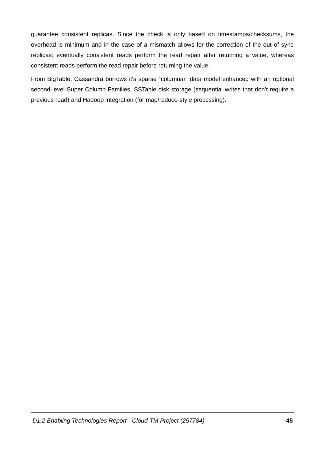guarantee consistent replicas. Since the check is only based on timestamps/checksums, the overhead is minimum and in the case of a mismatch allows for the correction of the out of sync replicas: eventually consistent reads perform the read repair after returning a value, whereas consistent reads perform the read repair before returning the value.

From BigTable, Cassandra borrows it's sparse "columnar" data model enhanced with an optional second-level Super Column Families, SSTable disk storage (sequential writes that don't require a previous read) and Hadoop integration (for map/reduce-style processing).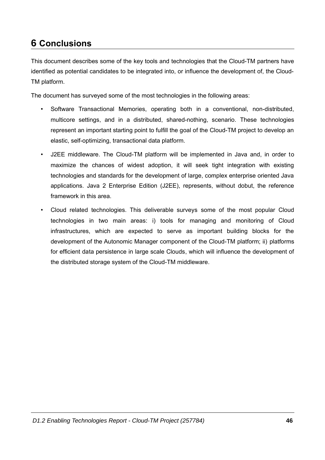## **6 Conclusions**

This document describes some of the key tools and technologies that the Cloud-TM partners have identified as potential candidates to be integrated into, or influence the development of, the Cloud-TM platform.

The document has surveyed some of the most technologies in the following areas:

- Software Transactional Memories, operating both in a conventional, non-distributed, multicore settings, and in a distributed, shared-nothing, scenario. These technologies represent an important starting point to fulfill the goal of the Cloud-TM project to develop an elastic, self-optimizing, transactional data platform.
- J2EE middleware. The Cloud-TM platform will be implemented in Java and, in order to  $\bullet$ maximize the chances of widest adoption, it will seek tight integration with existing technologies and standards for the development of large, complex enterprise oriented Java applications. Java 2 Enterprise Edition (J2EE), represents, without dobut, the reference framework in this area.
- Cloud related technologies. This deliverable surveys some of the most popular Cloud technologies in two main areas: i) tools for managing and monitoring of Cloud infrastructures, which are expected to serve as important building blocks for the development of the Autonomic Manager component of the Cloud-TM platform; ii) platforms for efficient data persistence in large scale Clouds, which will influence the development of the distributed storage system of the Cloud-TM middleware.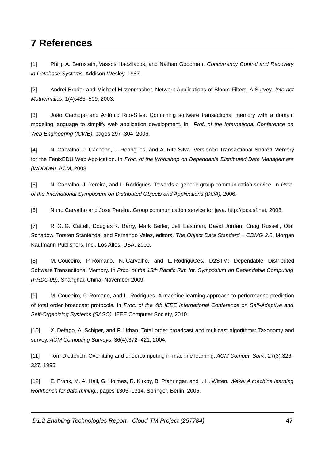## **7 References**

Philip A. Bernstein, Vassos Hadzilacos, and Nathan Goodman. Concurrency Control and Recovery  $[1]$ in Database Systems. Addison-Wesley, 1987.

 $[2]$ Andrei Broder and Michael Mitzenmacher. Network Applications of Bloom Filters: A Survey. Internet Mathematics, 1(4):485-509, 2003.

 $\lceil 3 \rceil$ João Cachopo and António Rito-Silva. Combining software transactional memory with a domain modeling language to simplify web application development. In Prof. of the International Conference on Web Engineering (ICWE), pages 297-304, 2006.

 $[4]$ N. Carvalho, J. Cachopo, L. Rodrigues, and A. Rito Silva. Versioned Transactional Shared Memory for the FenixEDU Web Application. In Proc. of the Workshop on Dependable Distributed Data Management (WDDDM). ACM, 2008.

N. Carvalho, J. Pereira, and L. Rodrigues. Towards a generic group communication service. In Proc.  $[5]$ of the International Symposium on Distributed Objects and Applications (DOA), 2006.

 $[6]$ Nuno Carvalho and Jose Pereira. Group communication service for java. http://jqcs.sf.net, 2008.

 $[7]$ R. G. G. Cattell, Douglas K. Barry, Mark Berler, Jeff Eastman, David Jordan, Craig Russell, Olaf Schadow, Torsten Stanienda, and Fernando Velez, editors. The Object Data Standard - ODMG 3.0. Morgan Kaufmann Publishers, Inc., Los Altos, USA, 2000.

 $[8]$ M. Couceiro. P. Romano. N. Carvalho. and L. RodriguCes. D2STM: Dependable Distributed Software Transactional Memory. In Proc. of the 15th Pacific Rim Int. Symposium on Dependable Computing (PRDC 09), Shanghai, China, November 2009.

M. Couceiro, P. Romano, and L. Rodrigues. A machine learning approach to performance prediction  $[9]$ of total order broadcast protocols. In Proc. of the 4th IEEE International Conference on Self-Adaptive and Self-Organizing Systems (SASO), IEEE Computer Society, 2010.

X. Defago, A. Schiper, and P. Urban. Total order broadcast and multicast algorithms: Taxonomy and  $[10]$ survey. ACM Computing Surveys, 36(4):372-421, 2004.

Tom Dietterich. Overfitting and undercomputing in machine learning. ACM Comput. Surv., 27(3):326- $[11]$ 327, 1995.

E. Frank, M. A. Hall, G. Holmes, R. Kirkby, B. Pfahringer, and I. H. Witten. Weka: A machine learning  $[12]$ workbench for data mining., pages 1305-1314. Springer, Berlin, 2005.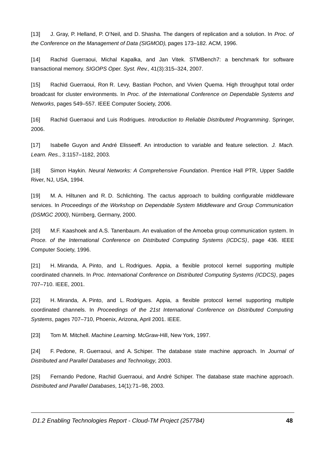$[13]$ J. Gray, P. Helland, P. O'Neil, and D. Shasha. The dangers of replication and a solution. In Proc. of the Conference on the Management of Data (SIGMOD), pages 173-182. ACM, 1996.

 $[14]$ Rachid Guerraoui, Michal Kapalka, and Jan Vitek. STMBench7: a benchmark for software transactional memory. SIGOPS Oper. Syst. Rev., 41(3):315-324, 2007.

Rachid Guerraoui, Ron R. Levy, Bastian Pochon, and Vivien Quema. High throughput total order  $[15]$ broadcast for cluster environments. In Proc. of the International Conference on Dependable Systems and Networks, pages 549-557. IEEE Computer Society, 2006.

Rachid Guerraoui and Luis Rodrigues. Introduction to Reliable Distributed Programming. Springer,  $[16]$ 2006.

 $[17]$ Isabelle Guyon and André Elisseeff. An introduction to variable and feature selection. J. Mach. Learn. Res., 3:1157-1182, 2003.

Simon Haykin. Neural Networks: A Comprehensive Foundation. Prentice Hall PTR, Upper Saddle  $[18]$ River, NJ, USA, 1994.

M. A. Hiltunen and R. D. Schlichting. The cactus approach to building configurable middleware  $[19]$ services. In Proceedings of the Workshop on Dependable System Middleware and Group Communication (DSMGC 2000), Nürnberg, Germany, 2000.

M.F. Kaashoek and A.S. Tanenbaum. An evaluation of the Amoeba group communication system. In  $[20]$ Proce. of the International Conference on Distributed Computing Systems (ICDCS), page 436. IEEE Computer Society, 1996.

H. Miranda, A. Pinto, and L. Rodrigues. Appia, a flexible protocol kernel supporting multiple  $[21]$ coordinated channels. In Proc. International Conference on Distributed Computing Systems (ICDCS), pages 707-710. IEEE, 2001.

H. Miranda, A. Pinto, and L. Rodrigues. Appia, a flexible protocol kernel supporting multiple  $[22]$ coordinated channels. In Proceedings of the 21st International Conference on Distributed Computing Systems, pages 707-710, Phoenix, Arizona, April 2001. IEEE.

 $[23]$ Tom M. Mitchell. Machine Learning. McGraw-Hill, New York, 1997.

F. Pedone, R. Guerraoui, and A. Schiper. The database state machine approach. In Journal of  $[24]$ Distributed and Parallel Databases and Technology, 2003.

Fernando Pedone, Rachid Guerraoui, and André Schiper. The database state machine approach.  $[25]$ Distributed and Parallel Databases, 14(1):71-98, 2003.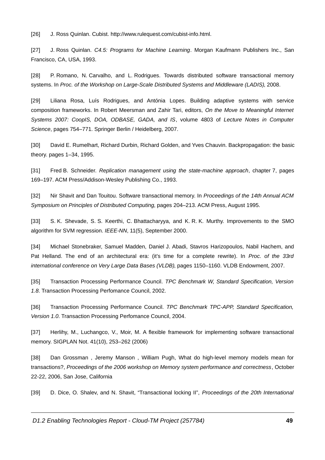$[26]$ J. Ross Quinlan. Cubist. http://www.rulequest.com/cubist-info.html.

J. Ross Quinlan. C4.5: Programs for Machine Learning. Morgan Kaufmann Publishers Inc., San  $[27]$ Francisco, CA, USA, 1993.

 $[28]$ P. Romano, N. Carvalho, and L. Rodrigues. Towards distributed software transactional memory systems. In Proc. of the Workshop on Large-Scale Distributed Systems and Middleware (LADIS), 2008.

Liliana Rosa, Luís Rodrigues, and Antónia Lopes. Building adaptive systems with service  $[29]$ composition frameworks. In Robert Meersman and Zahir Tari, editors, On the Move to Meaningful Internet Systems 2007: CoopIS, DOA, ODBASE, GADA, and IS, volume 4803 of Lecture Notes in Computer Science, pages 754-771. Springer Berlin / Heidelberg, 2007.

David E. Rumelhart, Richard Durbin, Richard Golden, and Yves Chauvin. Backpropagation: the basic  $[30]$ theory. pages 1-34, 1995.

Fred B. Schneider. Replication management using the state-machine approach, chapter 7, pages  $[31]$ 169-197. ACM Press/Addison-Wesley Publishing Co., 1993.

 $[32]$ Nir Shavit and Dan Touitou. Software transactional memory. In Proceedings of the 14th Annual ACM Symposium on Principles of Distributed Computing, pages 204-213. ACM Press, August 1995.

 $[33]$ S. K. Shevade, S. S. Keerthi, C. Bhattacharyya, and K. R. K. Murthy. Improvements to the SMO algorithm for SVM regression. IEEE-NN, 11(5), September 2000.

 $[34]$ Michael Stonebraker, Samuel Madden, Daniel J. Abadi, Stavros Harizopoulos, Nabil Hachem, and Pat Helland. The end of an architectural era: (it's time for a complete rewrite). In Proc. of the 33rd international conference on Very Large Data Bases (VLDB), pages 1150-1160. VLDB Endowment, 2007.

Transaction Processing Performance Council. TPC Benchmark W, Standard Specification, Version  $[35]$ 1.8. Transaction Processing Perfomance Council, 2002.

 $[36]$ Transaction Processing Performance Council. TPC Benchmark TPC-APP, Standard Specification, Version 1.0. Transaction Processing Perfomance Council, 2004.

 $[37]$ Herlihy, M., Luchangco, V., Moir, M. A flexible framework for implementing software transactional memory. SIGPLAN Not. 41(10), 253-262 (2006)

 $[38]$ Dan Grossman, Jeremy Manson, William Pugh, What do high-level memory models mean for transactions?, Proceedings of the 2006 workshop on Memory system performance and correctness, October 22-22, 2006, San Jose, California

D. Dice, O. Shaley, and N. Shavit, "Transactional locking II", Proceedings of the 20th International  $[39]$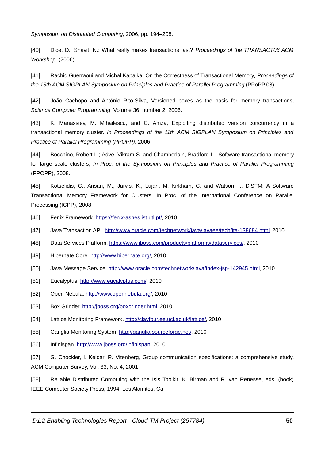Symposium on Distributed Computing, 2006, pp. 194-208.

 $[40]$ Dice, D., Shavit, N.: What really makes transactions fast? Proceedings of the TRANSACT06 ACM Workshop, (2006)

 $[41]$ Rachid Guerraoui and Michal Kapalka, On the Correctness of Transactional Memory, Proceedings of the 13th ACM SIGPLAN Symposium on Principles and Practice of Parallel Programming (PPoPP'08)

 $[42]$ João Cachopo and António Rito-Silva, Versioned boxes as the basis for memory transactions, Science Computer Programming, Volume 36, number 2, 2006.

K. Manassiev, M. Mihailescu, and C. Amza, Exploiting distributed version concurrency in a  $[43]$ transactional memory cluster. In Proceedings of the 11th ACM SIGPLAN Symposium on Principles and Practice of Parallel Programming (PPOPP), 2006.

Bocchino, Robert L.; Adve, Vikram S. and Chamberlain, Bradford L., Software transactional memory  $[44]$ for large scale clusters, In Proc. of the Symposium on Principles and Practice of Parallel Programming (PPOPP), 2008.

 $[45]$ Kotselidis, C., Ansari, M., Jarvis, K., Lujan, M. Kirkham, C. and Watson, I., DiSTM: A Software Transactional Memory Framework for Clusters, In Proc. of the International Conference on Parallel Processing (ICPP), 2008.

- $[46]$ Fenix Framework. https://fenix-ashes.ist.utl.pt/, 2010
- $[47]$ Java Transaction API. http://www.oracle.com/technetwork/java/javaee/tech/jta-138684.html, 2010
- $[48]$ Data Services Platform. https://www.jboss.com/products/platforms/dataservices/, 2010
- $[49]$ Hibernate Core. http://www.hibernate.org/, 2010
- $[50]$ Java Message Service. http://www.oracle.com/technetwork/java/index-jsp-142945.html, 2010
- $[51]$ Eucalyptus. http://www.eucalyptus.com/, 2010
- $[52]$ Open Nebula. http://www.opennebula.org/, 2010
- $[53]$ Box Grinder. http://jboss.org/boxgrinder.html, 2010
- $[54]$ Lattice Monitoring Framework. http://clayfour.ee.ucl.ac.uk/lattice/, 2010
- $[55]$ Ganglia Monitoring System. http://ganglia.sourceforge.net/, 2010
- $[56]$ Infinispan. http://www.jboss.org/infinispan, 2010

 $[57]$ G. Chockler, I. Keidar, R. Vitenberg, Group communication specifications: a comprehensive study, ACM Computer Survey, Vol. 33, No. 4, 2001

Reliable Distributed Computing with the Isis Toolkit. K. Birman and R. van Renesse, eds. (book)  $[58]$ IEEE Computer Society Press, 1994, Los Alamitos, Ca.